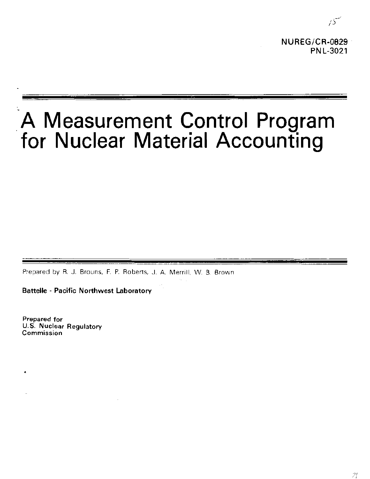NUREG/CR-0829 PNL-3021

## - .A Measurement Control Program for Nuclear Material Accounting

Prepared by R. J. Brauns, F. P. Roberts, J. A. Merrill, W. B. Brown

Battelle - Pacific Northwest Laboratory

Prepared for U.S. Nuclear Regulatory Commission

1,--· ' *)*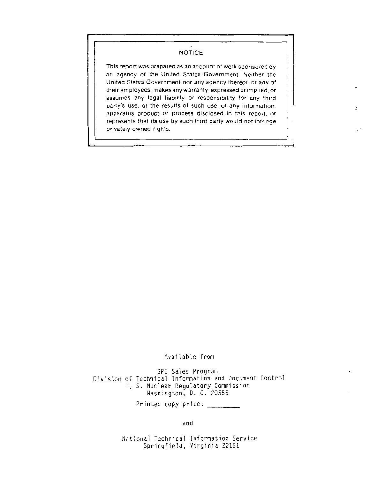### NOTICE

This report was prepared as an account of work sponsored by an agency of the United States Government. Neither the United States Government nor any agency thereof. or any of their employees, makes any warranty, expressed or implied, or assumes any legal liability or responsibility for any third party's use, or the results of such use, of any information. apparatus product or process disclosed in this report, or represents that its use by such third party would not infringe. privately owned rights.

Available from

GPO Sales Program Division of Technical Information and Document Control U. S. Nuclear Regulatory Commission Washington, D. C. 20555

Printed copy price:

and

National Technical Information Service Springfield, Virginia 22161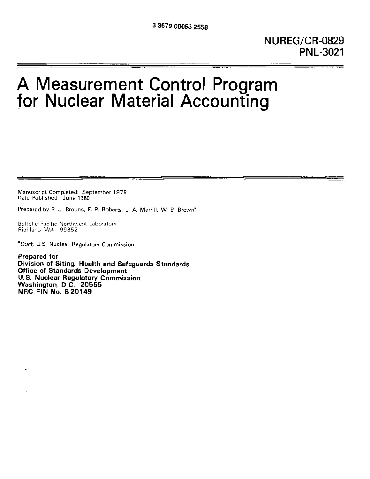# **A Measurement Control Program for Nuclear Material Accounting**

Manuscript Completed: September 1979 Date Published: June 1980

Prepared by R. J. Brouns, F. P. Roberts, J. A. Merrill, W. B. Brown\*

Battelle-Pacific Northwest Laboratory Richland, WA 99352

\*Staff, U.S. Nuclear Regulatory Commission

**Prepared for Division of Siting. Health and Safeguards Standards Office of Standards Development U.S. Nuclear Regulatory Commission**  Washington, D.C. 20555 NRC FIN No. B 20149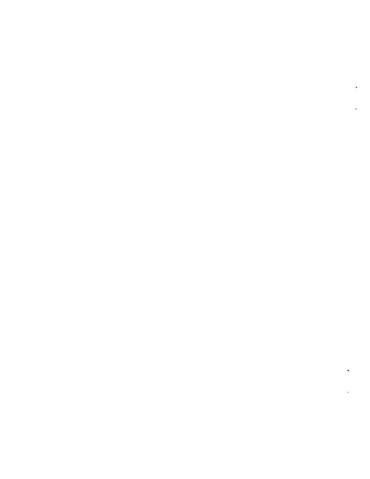۰  $\varphi_{\alpha\beta}$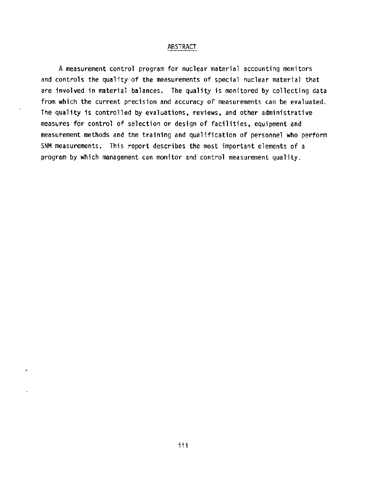### ABSTRACT

A measurement control program for nuclear material accounting monitors and controls the quality of the measurements of special nuclear material that are involved in material balances. The quality is monitored by collecting data from which the current precision and accuracy of measurements can be evaluated. The quality is controlled by evaluations, reviews, and other administrative measures for control of selection or design of facilities. equipment and measurement methods and the training and qualification of personnel who perform SNM measurements. This report describes the most important elements of a program by which management can monitor and control measurement quality.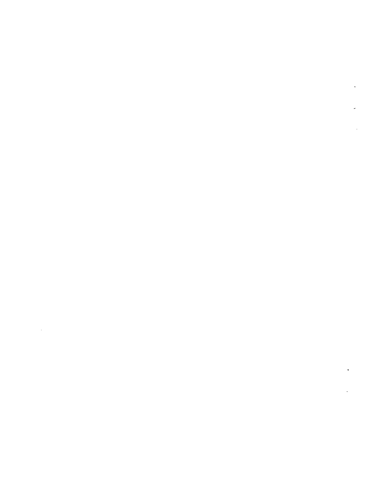$\mathcal{L}_{\mathrm{max}}$  $\omega$  $\mathcal{L}^{(1)}$ 

 $\mathcal{L}^{\text{max}}_{\text{max}}$  and  $\mathcal{L}^{\text{max}}_{\text{max}}$  $\bar{\star}$ 

 $\sim 10^7$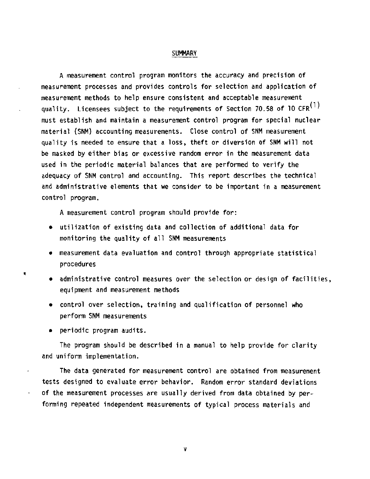#### **SUMMARY**

A measurement control program monitors the accuracy and precision of measurement processes and provides controls for selection and application of measurement methods to help ensure consistent and acceptable measurement quality. Licensees subject to the requirements of Section 70.58 of 10 CFR $^{(1)}$ must establish and maintain a measurement control program for special nuclear material (SNM) accounting measurements. Close control of SNM measurement quality is needed to ensure that a loss, theft or diversion of SNM will not be masked by either bias or excessive random error in the measurement data used in the periodic material balances that are performed to verify the adequacy of SNM control and accounting. This report describes the technical and administrative elements that we consider to be important in a measurement control program.

A measurement control program should provide for:

- utilization of existing data and collection of additional data for monitoring the quality of all SNM measurements
- measurement data evaluation and control through appropriate statistical procedures
- administrative control measures over the selection or design of facilities, equipment and measurement methods
- control over selection, training and qualification of personnel who perform SNM measurements
- periodic program audits.

•

The program should be described in a manual to help provide for clarity and uniform implementation.

The data generated for measurement control are obtained from measurement tests designed to evaluate error behavior. Random error standard deviations of the measurement processes are usually derived from data obtained by performing repeated independent measurements of typical process materials and

v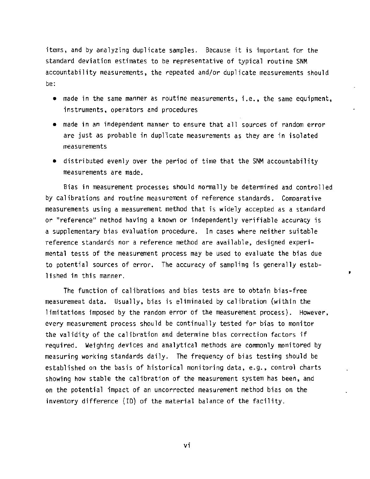items, and by analyzing duplicate samples. Because it is important for the standard deviation estimates to be representative of typical routine SNM accountability measurements, the repeated and/or duplicate measurements should be:

- made in the same manner as routine measurements, i.e., the same equipment, instruments, operators and procedures
- made in an independent manner to ensure that all sources of random error are just as probable in duplicate measurements as they are in isolated measurements
- distributed evenly over the period of time that the SNM accountability measurements are made.

Bias in measurement processes should normally be determined and controlled by calibrations and routine measurement of reference standards. Comparative measurements using a measurement method that is widely accepted as a standard or "reference" method having a known or independently verifiable accuracy is a supplementary bias evaluation procedure. In cases where neither suitable reference standards nor a reference method are available, designed experimental tests of the measurement process may be used to evaluate the bias due to potential sources of error. The accuracy of sampling is generally established in this manner.

•

The function of calibrations and bias tests are to obtain bias-free measurement data. Usually, bias is eliminated by calibration {within the limitations imposed by the random error of the measurement process). However, every measurement process should be continually tested for bias to monitor the validity of the calibration and determine bias correction factors if required. Weighing devices and analytical methods are commonly monitored by measuring working standards daily. The frequency of bias testing should be established on the basis of historical monitoring data, e.g., control charts showing how stable the calibration of the measurement system has been, and on the potential impact of an uncorrected measurement method bias on the inventory difference {ID) of the material balance of the facility.

vi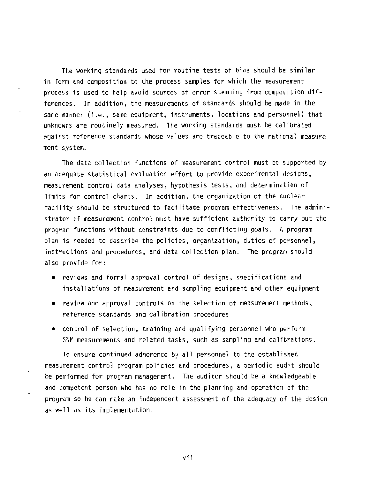The working standards used for routine tests of bias should be similar in form and composition to the process samples for which the measurement process is used to help avoid sources of error stemming from composition differences. In addition, the measurements of standards should be made in the same manner (i.e., same equipment, instruments, locations and personnel) that unknowns are routinely measured. The working standards must be calibrated against reference standards whose values are traceable to the national measurement system.

The data collection functions of measurement control must be supported by an adequate statistical evaluation effort to provide experimental designs, measurement control data analyses, hypothesis tests, and determination of limits for control charts. In addition, the organization of the nuclear facility should be structured to facilitate program effectiveness. The administrator of measurement control must have sufficient authority to carry out the program functions without constraints due to conflicting goals. A program plan is needed to describe the policies, organization, duties of personnel, instructions and procedures, and data collection plan. The program should also provide for:

- reviews and formal approval control of designs, specifications and installations of measurement and sampling equipment and other equipment
- review and approval controls on the selection of measurement methods, reference standards and calibration procedures
- control of selection, training and qualifying personnel who perform SNM measurements and related tasks, such as sampling and calibrations.

To ensure continued adherence by all personnel to the established measurement control program policies and procedures, a periodic audit should be performed for program management. The auditor should be a knowledgeable and competent person who has no role in the planning and operation of the program so he can make an independent assessment of the adequacy of the design as well as its implementation.

vi;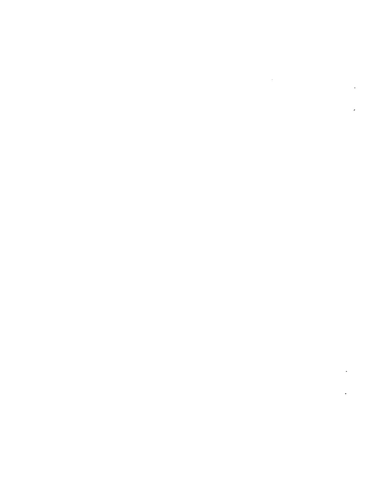$\label{eq:2.1} \mathcal{L}(\mathcal{L}^{\mathcal{L}}_{\mathcal{L}}(\mathcal{L}^{\mathcal{L}}_{\mathcal{L}})) \leq \mathcal{L}(\mathcal{L}^{\mathcal{L}}_{\mathcal{L}}(\mathcal{L}^{\mathcal{L}}_{\mathcal{L}})) \leq \mathcal{L}(\mathcal{L}^{\mathcal{L}}_{\mathcal{L}}(\mathcal{L}^{\mathcal{L}}_{\mathcal{L}}))$  $\sim 10^{-11}$  $\sim 10^{-11}$  $\mathcal{L}^{(1)}$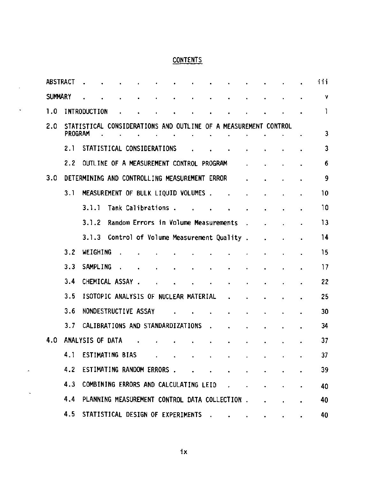### **CONTENTS**

| <b>ABSTRACT</b> |         |                     |                                                                 |  |  |   |  |  |   |  | iii |
|-----------------|---------|---------------------|-----------------------------------------------------------------|--|--|---|--|--|---|--|-----|
| <b>SUMMARY</b>  |         |                     |                                                                 |  |  | ٧ |  |  |   |  |     |
| 1.0             |         | <b>INTRODUCTION</b> |                                                                 |  |  |   |  |  |   |  | 1   |
| 2.0             | PROGRAM |                     | STATISTICAL CONSIDERATIONS AND OUTLINE OF A MEASUREMENT CONTROL |  |  |   |  |  |   |  | 3   |
|                 | 2.1     |                     | STATISTICAL CONSIDERATIONS                                      |  |  |   |  |  |   |  | 3   |
|                 | 2.2     |                     | OUTLINE OF A MEASUREMENT CONTROL PROGRAM                        |  |  |   |  |  |   |  | 6   |
| 3.0             |         |                     | DETERMINING AND CONTROLLING MEASUREMENT ERROR                   |  |  |   |  |  |   |  | 9   |
|                 | 3.1     |                     | MEASUREMENT OF BULK LIQUID VOLUMES.                             |  |  |   |  |  |   |  | 10  |
|                 |         | 3.1.1               | Tank Calibrations.                                              |  |  |   |  |  |   |  | 10  |
|                 |         | 3.1.2               | Random Errors in Volume Measurements                            |  |  |   |  |  |   |  | 13  |
|                 |         | 3.1.3               | Control of Volume Measurement Quality.                          |  |  |   |  |  |   |  | 14  |
|                 | 3.2     | WEIGHING            |                                                                 |  |  |   |  |  | ٠ |  | 15  |
|                 | 3.3     | SAMPLING            |                                                                 |  |  |   |  |  |   |  | 17  |
|                 | 3.4     |                     | CHEMICAL ASSAY .                                                |  |  |   |  |  |   |  | 22  |
|                 | 3.5     |                     | ISOTOPIC ANALYSIS OF NUCLEAR MATERIAL                           |  |  |   |  |  |   |  | 25  |
|                 | 3.6     |                     | NONDESTRUCTIVE ASSAY                                            |  |  |   |  |  |   |  | 30  |
|                 | 3.7     |                     | CALIBRATIONS AND STANDARDIZATIONS                               |  |  |   |  |  |   |  | 34  |
| 4.0             |         | ANALYSIS OF DATA    |                                                                 |  |  |   |  |  |   |  | 37  |
|                 | 4.1     |                     | ESTIMATING BIAS                                                 |  |  |   |  |  |   |  | 37  |
|                 |         |                     | 4.2 ESTIMATING RANDOM ERRORS.                                   |  |  |   |  |  |   |  | 39  |
|                 |         |                     | 4.3 COMBINING ERRORS AND CALCULATING LEID.                      |  |  |   |  |  |   |  | 40  |
|                 |         |                     | 4.4 PLANNING MEASUREMENT CONTROL DATA COLLECTION.               |  |  |   |  |  |   |  | 40  |
|                 |         |                     | 4.5 STATISTICAL DESIGN OF EXPERIMENTS                           |  |  |   |  |  |   |  | 40  |

Ĭ,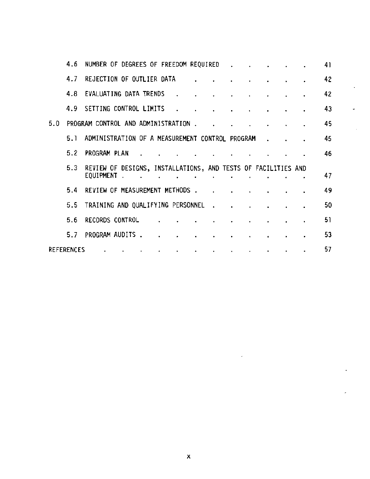|     | 4.6               | NUMBER OF DEGREES OF FREEDOM REQUIRED                                        |                |                |           |                      |               |                      |                             | <b>Contract Contract Contract Contract</b> |           | 41 |
|-----|-------------------|------------------------------------------------------------------------------|----------------|----------------|-----------|----------------------|---------------|----------------------|-----------------------------|--------------------------------------------|-----------|----|
|     | 4.7               | REJECTION OF OUTLIER DATA                                                    |                |                |           |                      |               |                      |                             |                                            |           | 42 |
|     | 4.8               | EVALUATING DATA TRENDS                                                       |                |                |           |                      | $\sim$ $\sim$ | $\cdot$              |                             |                                            |           | 42 |
|     | 4.9               | SETTING CONTROL LIMITS                                                       |                |                |           | $\ddot{\phantom{1}}$ |               | $\ddot{\phantom{0}}$ | $\ddot{\phantom{0}}$        |                                            |           | 43 |
| 5.0 |                   | PROGRAM CONTROL AND ADMINISTRATION.                                          |                |                |           |                      |               | $\sim$               | $\sim$ $\sim$               |                                            |           | 45 |
|     | 5.1               | ADMINISTRATION OF A MEASUREMENT CONTROL PROGRAM                              |                |                |           |                      |               |                      |                             |                                            |           | 45 |
|     | 5.2               | PROGRAM PLAN                                                                 |                |                |           |                      |               | $\blacksquare$       | $\blacksquare$              |                                            | $\bullet$ | 46 |
|     | 5.3               | REVIEW OF DESIGNS, INSTALLATIONS, AND TESTS OF FACILITIES AND<br>EQUIPMENT . |                |                |           |                      | $\sim$        | $\bullet$            |                             |                                            |           | 47 |
|     | 5.4               | REVIEW OF MEASUREMENT METHODS.                                               |                |                |           |                      |               | $\sim$ $\sim$        |                             |                                            |           | 49 |
|     | 5.5               | TRAINING AND QUALIFYING PERSONNEL .                                          |                |                |           |                      |               |                      | $\blacksquare$              | $\ddot{\phantom{0}}$                       | $\bullet$ | 50 |
|     | 5.6               | RECORDS CONTROL                                                              |                |                |           |                      |               |                      | $\bullet$                   |                                            | $\bullet$ | 51 |
|     | 5.7               | PROGRAM AUDITS.                                                              |                |                |           |                      |               |                      |                             |                                            |           | 53 |
|     | <b>REFERENCES</b> | $\blacksquare$                                                               | $\blacksquare$ | $\mathbf{r}$ . | $\bullet$ | $\bullet$            | $\bullet$     | $\bullet$            | $\sim$ $\sim$ $\sim$ $\sim$ |                                            |           | 57 |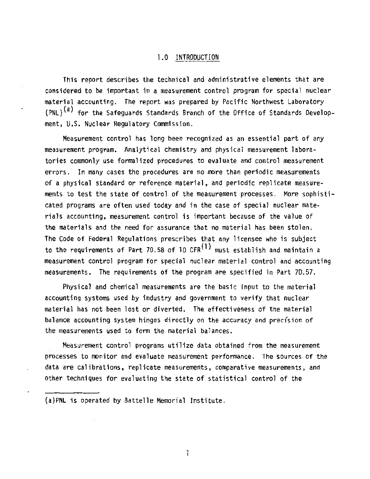### 1.0 INTRODUCTION

This report describes the technical and administrative elements that are considered to be important in a measurement control program for special nuclear material accounting. The report was prepared by Pacific Northwest Laboratory  $(PNL)^{(a)}$  for the Safeguards Standards Branch of the Office of Standards Development, U.S. Nuclear Regulatory Commission.

Measurement control has long been recognized as an essential part of any measurement program. Analytical chemistry and physical measurement laboratories commonly use formalized procedures to evaluate and control measurement errors. In many cases the procedures are no more than periodic measurements of a physical standard or reference material. and periodic replicate measurements to test the state of control of the measurement processes. More sophisticated programs are often used today and in the case of special nuclear materials accounting, measurement control is important because of the value of the materials and the need for assurance that no material has been stolen. The Code of Federal Regulations prescribes that any licensee who is subject to the requirements of Part 70.58 of 10 CFR $(1)$  must establish and maintain a measurement control program for special nuclear material control and accounting measurements. The requirements of the program are specified in Part 70.57.

Physical and chemical measurements are the basic input to the material accounting systems used by industry and government to verify that nuclear material has not been lost or diverted. The effectiveness of the material balance accounting system hinges directly on the accuracy and precision of the measurements used to form the material balances.

Measurement control programs utilize data obtained from the measurement processes to monitor and evaluate measurement performance. The sources of the data are calibrations, replicate measurements, comparative measurements, and other techniques for evaluating the state of statistical control of the

(a)PNL is operated by Battelle Memorial Institute.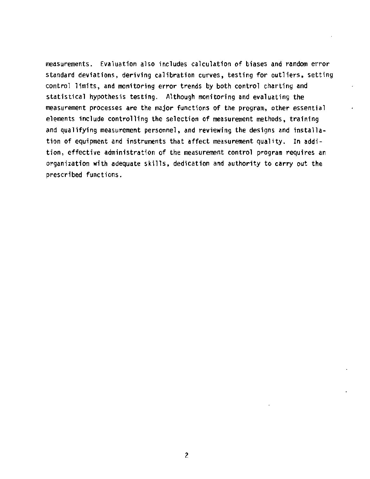measurements. Evaluation also includes calculation of biases and random error standard deviations, deriving calibration curves, testing for outliers, setting control limits, and monitoring error trends by both control charting and statistical hypothesis testing. Although monitoring and evaluating the measurement processes are the major functions of the program, other essential elements include controlling the selection of measurement methods, training and qualifying measurement personnel, and reviewing the designs and installation of equipment and instruments that affect measurement quality. In addition, effective administration of the measurement control program requires an organization with adequate skills, dedication and authority to carry out the prescribed functions.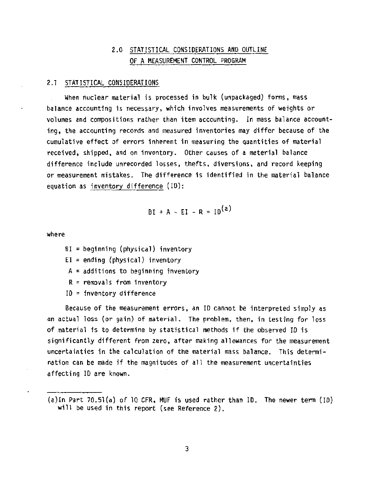### 2.0 STATISTICAL CONSIDERATIONS AND OUTLINE OF A MEASUREMENT CONTROL PROGRAM

### 2.1 STATISTICAL CONSIDERATIONS

When nuclear material is processed in bulk (unpackaged) forms, mass balance accounting is necessary, which involves measurements of weights or volumes and compositions rather than item accounting. In mass balance accounting, the accounting records and measured inventories may differ because of the cumulative effect of errors inherent in measuring the quantities of material received, shipped, and on inventory. Other causes of a material balance difference include unrecorded losses, thefts, diversions, and record keeping or measurement mistakes. The difference is identified in the material balance equation as inventory difference (10):

$$
BI + A - EI - R = ID^{(a)}
$$

where

 $BI = beginning (physical)$  inventory

 $EI = ending (physical)$  inventory

 $A = additions$  to beginning inventory

- $R =$  removals from inventory
- ID = inventory difference

Because of the measurement errors, an 10 cannot be interpreted simply as an actual loss (or gain) of material. The problem, then, in testing for loss of material is to determine by statistical methods if the observed ID is significantly different from zero, after making allowances for the measurement uncertainties in the calculation of the material mass balance. This determination can be made if the magnitudes of all the measurement uncertainties affecting ID are known.

 $(a)$ In Part 70.51(a) of 10 CFR, MUF is used rather than ID. The newer term (ID) will be used in this report (see Reference 2).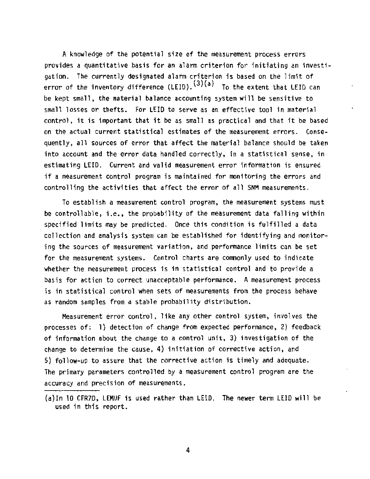A knowledge of the potential size of the measurement process errors provides a quantitative basis for an alarm criterion for initiating an investigation. The currently designated alarm criterion is based on the limit of error of the inventory difference (LEID).<sup>(3)(d)</sup> To the extent that LEID can be kept small, the material balance accounting system will be sensitive to small losses or thefts. For LEID to serve as an effective tool in material control, it is important that it be as small as practical and that it be based on the actual current statistical estimates of the measurement errors. Consequently, all sources of error that affect the material balance should be taken into account and the error data handled correctly, in a statistical sense, in estimating LEID. Current and valid measurement error information is ensured if a measurement control program is maintained for monitoring the errors and controlling the activities that affect the error of all SNM measurements.

To establish a measurement control program, the measurement systems must be controllable, i.e., the probability of the measurement data falling within specified limits may be predicted. Once this condition is fulfilled a data collection and analysis system can be established for identifying and monitoring the sources of measurement variation, and performance limits can be set for the measurement systems. Control charts are commonly used to indicate whether the measurement process is in statistical control and to provide a basis for action to correct unacceptable performance. A measurement process is in statistical control when sets of measurements from the process behave as random samples from a stable probability distribution.

Measurement error control, like any other control system, involves the processes of: 1) detection of change from expected performance, 2) feedback of information about the change to a control unit, 3) investigation of the change to determine the cause, 4) initiation of corrective action, and 5) follow-up to assure that the corrective action is timely and adequate. The primary parameters controlled by a measurement control program are the accuracy and precision of measurements.

<sup>(</sup>a) In 10 CFR70, LEMUF is used rather than LEID. The newer term LEID will be used in this report.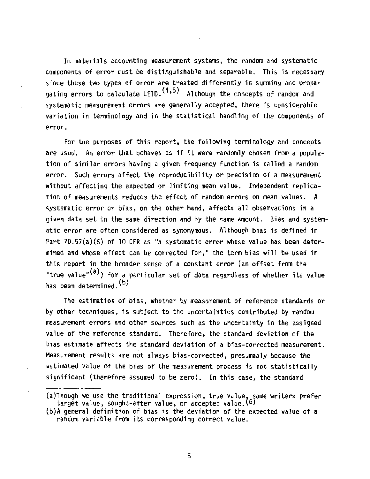In materials accounting measurement systems, the random and systematic components of error must be distinguishable and separable. This is necessary since these two types of error are treated differently in summing and propagating errors to calculate <code>LEID.</code>  $\left( 4\text{,}5\right)$   $\,$  Although the concepts of random and systematic measurement errors are generally accepted, there is considerable variation in terminology and in the statistical handling of the components of error.

For the purposes of this report, the following terminology and concepts are used. An error that behaves as if it were randomly chosen from a population of similar errors having a given frequency function is called a random error. Such errors affect the reproducibility or precision of a measurement without affecting the expected or limiting mean value. Independent replication of measurements reduces the effect of random errors on mean values. A systematic error or bias. on the other hand, affects all observations in a given data set in the same direction and by the same amount. Bias and systematic error are often considered as synonymous. Although bias is defined in Part 70.57(a)(6) of 10 CFR as "a systematic error whose value has been determined and whose effect can be corrected for," the term bias will be used in this report in the broader sense of a constant error (an offset from the 11 true value<sup>"(a)</sup>) for a particular set of data regardless of whether its value has been determined.<sup>(b)</sup>

The estimation of bias, whether by measurement of reference standards or by other techniques. is subject to the uncertainties contributed by random measurement errors and other sources such as the uncertainty in the assigned value of the reference standard. Therefore, the standard deviation of the bias estimate affects the standard deviation of a bias-corrected measurement. Measurement results are not always bias-corrected, presumably because the estimated value of the bias of the measurement process is not statistically significant (therefore assumed to be zero). In this case, the standard

<sup>(</sup>a)Though we use the traditional expression, true value, some writers prefer target value, sought-after value, or accepted value.\6J

<sup>(</sup>b)A general definition of bias is the deviation of the expected value of a random variable from its corresponding correct value.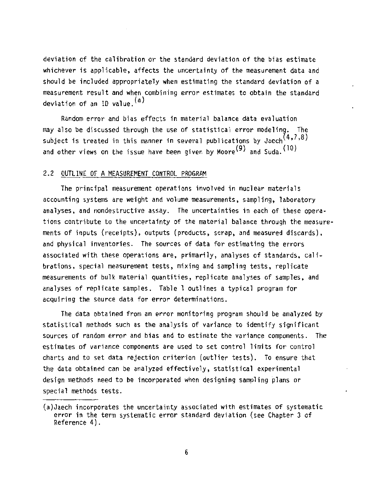deviation of the calibration or the standard deviation of the bias estimate whichever is applicable, affects the uncertainty of the measurement data and should be included appropriately when estimating the standard deviation of a measurement result and when combining error estimates to obtain the standard deviation of an ID value. (a)

Random error and bias effects in material balance data evaluation may also be discussed through the use of statistical error modeling. The subject is treated in this manner in several publications by Jaech $\mathsf{^{(4,7,8)}}$ and other views on the issue have been given by Moore<sup>(9)</sup> and Suda.  $(10)$ 

### 2.2 OUTLINE OF A MEASUREMENT CONTROL PROGRAM

The principal measurement operations involved in nuclear materials accounting systems are weight and volume measurements, sampling, laboratory analyses, and nondestructive assay. The uncertainties in each of these operations contribute to the uncertainty of the material balance through the measurements of inputs {receipts), outputs (products, scrap, and measured discards), and physical inventories. The sources of data for estimating the errors associated with these operations are, primarily, analyses of standards, calibrations, special measurement tests, mixing and sampling tests, replicate measurements of bulk material quantities, replicate analyses of samples, and analyses of replicate samples. Table 1 outlines a typical program for acquiring the source data for error determinations.

The data obtained from an error monitoring program should be analyzed by statistical methods such as the analysis of variance to identify significant sources of random error and bias and to estimate the variance components. The estimates of variance components are used to set control limits for control charts and to set data rejection criterion (outlier tests). To ensure that the data obtained can be analyzed effectively, statistical experimental design methods need to be incorporated when designing sampling plans or special methods tests.

<sup>(</sup>a)Jaech incorporates the uncertainty associated with estimates of systematic error in the term systematic error standard deviation (see Chapter 3 of Reference 4).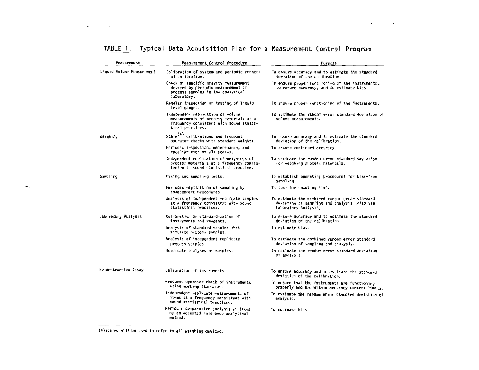### TABLE l. Typical Data Acquisition Plan for a Measurement Control Program

 $\sim 10$ 

 $\bullet$ 

| Measurement               | Measurement Control Procedure                                                                                                              | Purpose                                                                                                                 |  |  |  |  |  |  |
|---------------------------|--------------------------------------------------------------------------------------------------------------------------------------------|-------------------------------------------------------------------------------------------------------------------------|--|--|--|--|--|--|
| Liquid Volume Measurement | Calibration of system and periodic recheck<br>of calibration.                                                                              | To ensure accuracy and to estimate the standard<br>deviation of the calibration.                                        |  |  |  |  |  |  |
|                           | Check of specific gravity measurement<br>devices by periodic measurement of<br>process samples in the analytical<br>laboratory.            | To ensure proper functioning of the instruments,<br>to ensure accuracy, and to estimate bias.                           |  |  |  |  |  |  |
|                           | Regular inspection or testing of liquid<br>level gauges.                                                                                   | To ensure proper functioning of the instruments.                                                                        |  |  |  |  |  |  |
|                           | independent replication of volume<br>measurements of process materials at a<br>frequency consistent with sound statis-<br>tical practices. | To estimate the random error standard deviation of<br>volume measurements.                                              |  |  |  |  |  |  |
| Weighing                  | Scale <sup>(a)</sup> calibrations and frequent<br>operator checks with standard weights.                                                   | To ensure accuracy and to estimate the standard<br>deviation of the calibration.                                        |  |  |  |  |  |  |
|                           | Periodic inspection, maintenance, and<br>recalibration of all scales.                                                                      | To ensure continued accuracy.                                                                                           |  |  |  |  |  |  |
|                           | Independent replication of weighings of<br>process materials at a frequency consis-<br>tent with sound statistical practice.               | To estimate the random error standard deviation<br>for weighing process materials.                                      |  |  |  |  |  |  |
| Sampling                  | Mixing and sampling tests.                                                                                                                 | To establish operating procedures for bias-free<br>sampling.                                                            |  |  |  |  |  |  |
|                           | Periodic replication of sampling by<br>independent procedures.                                                                             | To test for sampling bias.                                                                                              |  |  |  |  |  |  |
|                           | Analysis of independent replicate samples<br>at a frequency consistent with sound<br>statistical practices.                                | To estimate the combined random error standard<br>deviation of sampling and analysis (also see<br>Laboratory Analysis). |  |  |  |  |  |  |
| Laboratory Analysis       | Calibration or standardization of<br>instruments and reagents.                                                                             | To ensure accuracy and to estimate the standard<br>deviation of the calibration.                                        |  |  |  |  |  |  |
|                           | Analysis of standard samples that<br>simulate process samples.                                                                             | To estimate bias.                                                                                                       |  |  |  |  |  |  |
|                           | Analysis of independent replicate<br>process samples.                                                                                      | To estimate the combined random error standard<br>deviation of sampling and analysis.                                   |  |  |  |  |  |  |
|                           | Replicate analyses of samples.                                                                                                             | To estimate the random error standard deviation<br>of analysis.                                                         |  |  |  |  |  |  |
| Nondestructive Assay      | Calibration of instruments.                                                                                                                | To ensure accuracy and to estimate the standard<br>deviation of the calibration.                                        |  |  |  |  |  |  |
|                           | Frequent operator check of instruments<br>using working standards.                                                                         | To ensure that the instruments are functioning<br>properly and are within accuracy control limits.                      |  |  |  |  |  |  |
|                           | Independent replicate measurements of<br>items at a frequency consistent with<br>sound statistical practices.                              | To estimate the random error standard deviation of<br>analysis.                                                         |  |  |  |  |  |  |
|                           | Periodic comparative analysis of items<br>by an accepted reference analytical<br>method.                                                   | To estimate bias.                                                                                                       |  |  |  |  |  |  |

<sup>(</sup>a)Scales will be used to refer to all weighing devices.

 $\mathbf{z}$  , and  $\mathbf{z}$  , and  $\mathbf{z}$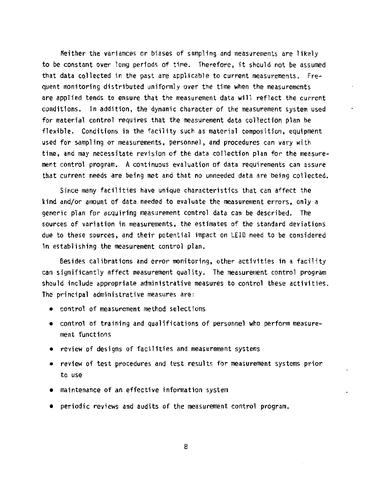Neither the variances or biases of sampling and measurements are likely to be constant over long periods of time. Therefore, it should not be assumed that data collected in the past are applicable to current measurements. Frequent monitoring distributed uniformly over the time when the measurements are applied tends to ensure that the measurement data will reflect the current conditions. In addition, the dynamic character of the measurement system used for material control requires that the measurement data collection plan be flexible. Conditions in the facility such as material composition, equipment used for sampling or measurements, personnel, and procedures can vary with time, and may necessitate revision of the data collection plan for the measurement control program. A continuous evaluation of data requirements can assure that current needs are being met and that no unneeded data are being collected.

Since many facilities have unique characteristics that can affect the kind and/or amount of data needed to evaluate the measurement errors, only a generic plan for acquiring measurement control data can be described. The sources of variation in measurements, the estimates of the standard deviations due to these sources, and their potential impact on LEID need to be considered in establishing the measurement control plan.

Besides calibrations and error monitoring, other activities in a facility can significantly affect measurement quality. The measurement control program should include appropriate administrative measures to control these activities. The principal administrative measures are:

- control of measurement method selections
- control of training and qualifications of personnel who perform measurement functions
- review of designs of facilities and measurement systems
- review of test procedures and test results for measurement systems prior to use
- maintenance of an effective information system
- periodic reviews and audits of the measurement control program.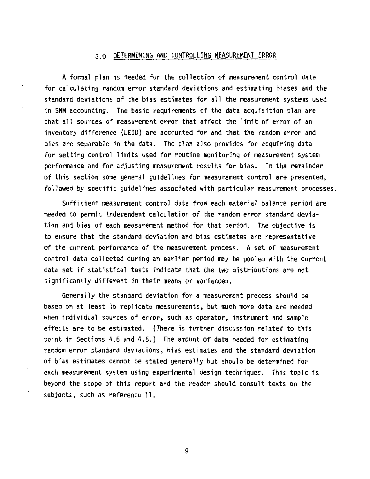### 3.0 DETERMINING AND CONTROLLING MEASUREMENT ERROR

A formal plan is needed for the collection of measurement control data for calculating random error standard deviations and estimating biases and the standard deviations of the bias estimates for all the measurement systems used in SNM accounting. The basic requirements of the data acquisition plan are that all sources of measurement error that affect the limit of error of an inventory difference (LEID) are accounted for and that the random error and bias are separable in the data. The plan also provides for acquiring data for setting control limits used for routine monitoring of measurement system performance and for adjusting measurement results for bias. In the remainder of this section some general guidelines for measurement control are presented, followed by specific guidelines associated with particular measurement processes.

Sufficient measurement control data from each material balance period are needed to permit independent calculation of the random error standard deviation and bias of each measurement method for that period. The objective is to ensure that the standard deviation and bias estimates are representative of the current performance of the measurement process. A set of measurement control data collected during an earlier period may be pooled with the current data set if statistical tests indicate that the two distributions are not significantly different in their means or variances.

Generally the standard deviation for a measurement process should be based on at least 15 replicate measurements, but much more data are needed when individual sources of error, such as operator, instrument and sample effects are to be estimated. (There is further discussion related to this point in Sections 4.5 and 4.6.) The amount of data needed for estimating random error standard deviations, bias estimates and the standard deviation of bias estimates cannot be stated generally but should be determined for each measurement system using experimental design techniques. This topic is beyond the scope of this report and the reader should consult texts on the subjects, such as reference 11.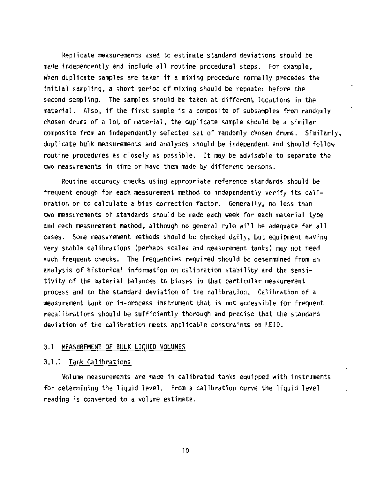Replicate measurements used to estimate standard deviations should be made independently and include all routine procedural steps. For example, when duplicate samples are taken if a mixing procedure normally precedes the initial sampling, a short period of mixing should be repeated before the second sampling. The samples should be taken at different locations in the material. Also, if the first sample is a composite of subsamples from randomly chosen drums of a lot of material. the duplicate sample should be a similar composite from an independently selected set of randomly chosen drums. Similarly. duplicate bulk measurements and analyses should be independent and should follow routine procedures as closely as possible. It may be advisable to separate the two measurements in time or have them made by different persons.

Routine accuracy checks using appropriate reference standards should be frequent enough for each measurement method to independently verify its calibration or to calculate a bias correction factor. Generally, no less than two measurements of standards should be made each week for each material type and each measurement method, although no general rule will be adequate for all cases. Some measurement methods should be checked daily, but equipment having very stable calibrations (perhaps scales and measurement tanks) may not need such frequent checks. The frequencies required should be determined from an analysis of historical information on calibration stability and the sensitivity of the material balances to biases in that particular measurement process and to the standard deviation of the calibration. Calibration of a measurement tank or in-process instrument that is not accessible for frequent recalibrations should be sufficiently thorough and precise that the standard deviation of the calibration meets applicable constraints on LEID.

### 3.1 MEASUREMENT OF BULK LIQUID VOLUMES

#### 3.1.1 Tank Calibrations

Volume measurements are made in calibrated tanks equipped with instruments for determining the liquid level. From a calibration curve the liquid level reading is converted to a volume estimate.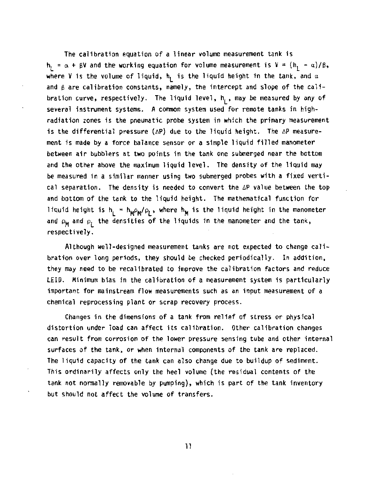The calibration equation of a linear volume measurement tank is  $h_1 = \alpha + \beta V$  and the working equation for volume measurement is  $V = (h_1 - \alpha)/\beta$ , where V is the volume of liquid, h, is the liquid height in the tank, and  $\alpha$ and  $\beta$  are calibration constants, namely, the intercept and slope of the calibration curve, respectively. The liquid level,  $h_1$ , may be measured by any of several instrument systems. A common system used for remote tanks in highradiation zones is the pneumatic probe system in which the primary measurement is the differential pressure ( $\Delta P$ ) due to the liquid height. The  $\Delta P$  measurement is made by a force balance sensor or a simple liquid filled manometer between air bubblers at two points in the tank one submerged near the bottom and the other above the maximum liquid level. The density of the liquid may be measured in a similar manner using two submerged probes with a fixed vertical separation. The density is needed to convert the  $\Delta P$  value between the top and bottom of the tank to the liquid height. The mathematical function for liquid height is  $h_{\parallel} = h_{M} \rho_{M}/\rho_{L}$ , where  $h_{M}$  is the liquid height in the manometer and  $\rho_M$  and  $\rho_I$  the densities of the liquids in the manometer and the tank, respectively.

Although well-designed measurement tanks are not expected to change calibration over long periods, they should be checked periodically. In addition, they may need to be recalibrated to improve the calibration factors and reduce LEID. Minimum bias in the calibration of a measurement system is particularly important for mainstream flow measurements such as an input measurement of a chemical reprocessing plant or scrap recovery process.

Changes in the dimensions of a tank from relief of stress or physical distortion under load can affect its calibration. Other calibration changes can result from corrosion of the lower pressure sensing tube and other internal surfaces of the tank, or when internal components of the tank are replaced. The liquid capacity of the tank can also change due to buildup of sediment. This ordinarily affects only the heel volume (the residual contents of the tank not normally removable by pumping), which is part of the tank inventory but should not affect the volume of transfers.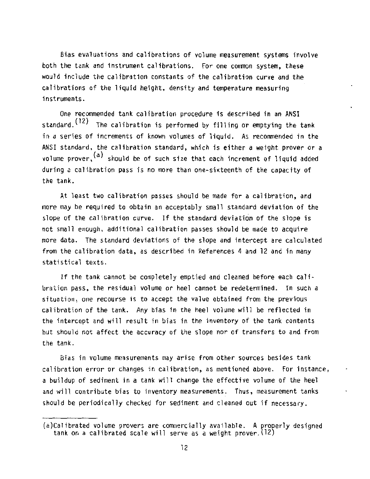Bias evaluations and calibrations of volume measurement systems involve both the tank and instrument calibrations. For one common system, these would include the calibration constants of the calibration curve and the calibrations of the liquid height, density and temperature measuring instruments.

One recommended tank calibration procedure is described in an ANSI standard.<sup>(12)</sup> The calibration is performed by filling or emptying the tank in a series of increments of known volumes of liquid. As recommended in the ANSI standard, the calibration standard, which is either a weight prover or a volume prover,<sup>(a)</sup> should be of such size that each increment of liquid added during a calibration pass is no more than one-sixteenth of the capacity of the tank.

At least two calibration passes should be made for a calibration, and more may be required to obtain an acceptably small standard deviation of the slope of the calibration curve. If the standard deviation of the slope is not small enough, additional calibration passes should be made to acquire more data. The standard deviations of the slope and intercept are calculated from the calibration data, as described in References 4 and 12 and in many statistical texts.

If the tank cannot be completely emptied and cleaned before each calibration pass, the residual volume or heel cannot be redetermined. In such a situation, one recourse is to accept the value obtained from the previous calibration of the tank. Any bias in the heel volume will be reflected in the intercept and will result in bias in the inventory of the tank contents but should not affect the accuracy of the slope nor of transfers to and from the tank.

Bias in volume measurements may arise from other sources besides tank calibration error or changes in calibration, as mentioned above. For instance, a buildup of sediment in a tank will change the effective volume of the heel and will contribute bias to inventory measurements. Thus, measurement tanks should be periodically checked for sediment and cleaned out if necessary.

<sup>(</sup>a)Calibrated volume provers are commercially available. A properly designed tank on a calibrated scale will serve as a weight prover.(l2)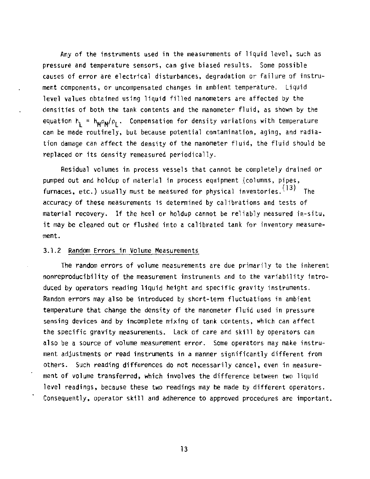Any of the instruments used in the measurements of liquid level, such as pressure and temperature sensors, can give biased results. Some possible causes of error are electrical disturbances, degradation or failure of instrument components, or uncompensated changes in ambient temperature. Liquid level values obtained using liquid filled manometers are affected by the densities of both the tank contents and the manometer fluid, as shown by the equation  $h_1 = h_{M} \rho_M / \rho_I$ . Compensation for density variations with temperature can be made routinely, but because potential contamination, aging, and radiation damage can affect the density of the manometer fluid, the fluid should be replaced or its density remeasured periodically.

Residual volumes in process vessels that cannot be completely drained or pumped out and holdup of material in process equipment (columns, pipes, furnaces, etc.) usually must be measured for physical inventories.  $(13)$  The accuracy of these measurements is determined by calibrations and tests of material recovery. If the heel or holdup cannot be reliably measured in-situ, it may be cleaned out or flushed into a calibrated tank for inventory measurement.

### 3.1.2 Random Errors in Volume Measurements

The random errors of volume measurements are due primarily to the inherent nonreproducibility of the measurement instruments and to the variability introduced by operators reading liquid height and specific gravity instruments. Random errors may also be introduced by short-term fluctuations in ambient temperature that change the density of the manometer fluid used in pressure sensing devices and by incomplete mixing of tank contents, which can affect the specific gravity measurements. lack of care and skill by operators can also be a source of volume measurement error. Some operators may make instrument adjustments or read instruments in a manner significantly different from others. Such reading differences do not necessarily cancel, even in measurement of volume transferred, which involves the difference between two liquid level readings, because these two readings may be made by different operators. Consequently, operator skill and adherence to approved procedures are important.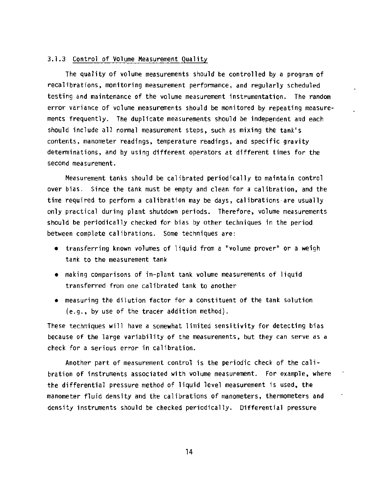### 3.1.3 Control of Volume Measurement Quality

The quality of volume measurements should be controlled by a program of recalibrations, monitoring measurement performance, and regularly scheduled testing and maintenance of the volume measurement instrumentation. The random error variance of volume measurements should be monitored by repeating measurements frequently. The duplicate measurements should be independent and each should include all normal measurement steps, such as mixing the tank's contents, manometer readings, temperature readings, and specific gravity determinations, and by using different operators at different times for the second measurement.

Measurement tanks should be calibrated periodically to maintain control over bias. Since the tank must be empty and clean for a calibration, and the time required to perform a calibration may be days, calibrations are usually only practical during plant shutdown periods. Therefore, volume measurements should be periodically checked for bias by other techniques in the period between complete calibrations. Some techniques are:

- transferring known volumes of liquid from a "volume prover" or a weigh tank to the measurement tank
- making comparisons of in-plant tank volume measurements of liquid transferred from one calibrated tank to another
- measuring the dilution factor for a constituent of the tank solution (e.g., by use of the tracer addition method).

These techniques will have a somewhat limited sensitivity for detecting bias because of the large variability of the measurements, but they can serve as a check for a serious error in calibration.

Another part of measurement control is the periodic check of the calibration of instruments associated with volume measurement. For example, where the differential pressure method of liquid level measurement is used, the manometer fluid density and the calibrations of manometers, thermometers and density instruments should be checked periodically. Differential pressure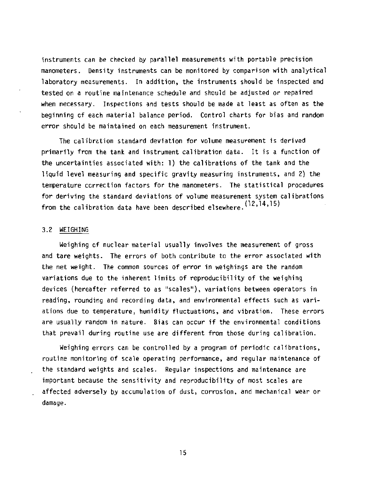instruments can be checked by parallel measurements with portable precision manometers. Density instruments can be monitored by comparison with analytical laboratory measurements. In addition, the instruments should be inspected and tested on a routine maintenance schedule and should be adjusted or repaired when necessary. Inspections and tests should be made at least as often as the beginning of each material balance period. Control charts for bias and random error should be maintained on each measurement instrument.

The calibration standard deviation for volume measurement is derived primarily from the tank and instrument calibration data. It is a function of the uncertainties associated with: 1) the calibrations of the tank and the liquid level measuring and specific gravity measuring instruments, and 2) the temperature correction factors for the manometers. The statistical procedures for deriving the standard deviations of volume measurement system calibrations from the calibration data have been described elsewhere. $^{(12,14,15)}$ 

### 3.2 WEIGHING

Weighing of nuclear material usually involves the measurement of gross and tare weights. The errors of both contribute to the error associated with the net weight. The common sources of error in weighings are the random variations due to the inherent limits of reproducibility of the weighing devices (hereafter referred to as "scales"), variations between operators in reading, rounding and recording data, and environmental effects such as variations due to temperature, humidity fluctuations, and vibration. These errors are usually random in nature. Bias can occur if the environmental conditions that prevail during routine use are different from those during calibration.

Weighing errors can be controlled by a program of periodic calibrations, routine monitoring of scale operating performance, and regular maintenance of the standard weights and scales. Regular inspections and maintenance are important because the sensitivity and reproducibility of most scales are affected adversely by accumulation of dust, corrosion, and mechanical wear or damage.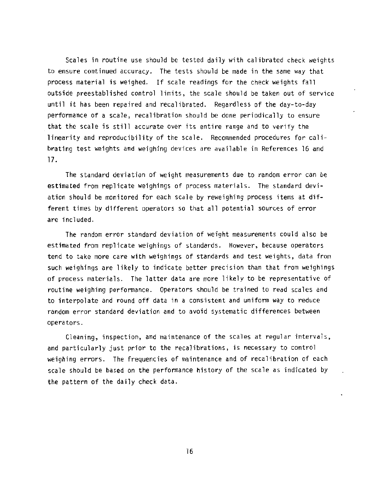Scales in routine use should be tested daily with calibrated check weights to ensure continued accuracy. The tests should be made in the same way that process material is weighed. If scale readings for the check weights fall outside preestablished control limits, the scale should be taken out of service until it has been repaired and recalibrated. Regardless of the day-to-day performance of a scale, recalibration should be done periodically to ensure that the scale is still accurate over its entire range and to verify the linearity and reproducibility of the scale. Recommended procedures for calibrating test weights and weighing devices are available in References 16 and 17.

The standard deviation of weight measurements due to random error can be estimated from replicate weighings of process materials. The standard deviation should be monitored for each scale by reweighing process items at different times by different operators so that all potential sources of error are included.

The random error standard deviation of weight measurements could also be estimated from replicate weighings of standards. However, because operators tend to take more care with weighings of standards and test weights, data from such weighings are likely to indicate better precision than that from weighings of process materials. The latter data are more likely to be representative of routine weighing performance. Operators should be trained to read scales and to interpolate and round off data in a consistent and uniform way to reduce random error standard deviation and to avoid systematic differences between operators.

Cleaning, inspection, and maintenance of the scales at regular intervals, and particularly just prior to the recalibrations, is necessary to control weighing errors. The frequencies of maintenance and of recalibration of each scale should be based on the performance history of the scale as indicated by the pattern of the daily check data.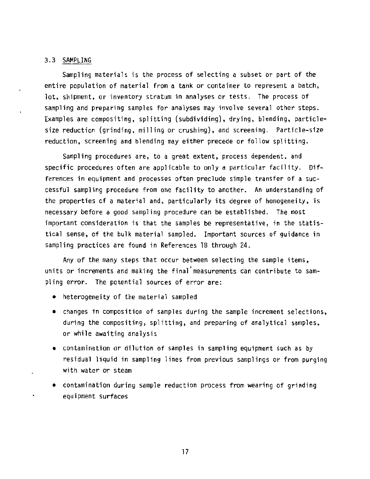### 3.3 SAMPLING

Sampling materials is the process of selecting a subset or part of the entire population of material from a tank or container to represent a batch, lot, shipment, or inventory stratum in analyses or tests. The process of sampling and preparing samples for analyses may involve several other steps. Examples are compositing, splitting (subdividing), drying, blending, particlesize reduction {grinding, milling or crushing), and screening. Particle-size reduction, screening and blending may either precede or follow splitting.

Sampling procedures are, to a great extent, process dependent, and specific procedures often are applicable to only a particular facility. Differences in equipment and processes often preclude simple transfer of a successful sampling procedure from one facility to another. An understanding of the properties of a material and, particularly its degree of homogeneity, is necessary before a good sampling procedure can be established. The most important consideration is that the samples be representative, in the statistical sense, of the bulk material sampled. Important sources of guidance in sampling practices are found in References 18 through 24.

Any of the many steps that occur between selecting the sample items, units or increments and making the final'measurements can contribute to sampling error. The potential sources of error are:

- heterogeneity of the material sampled
- changes in composition of samples during the sample increment selections, during the compositing, splitting, and preparing of analytical samples, or while awaiting analysis
- contamination or dilution of samples in sampling equipment such as by residual liquid in sampling lines from previous samplings or from purging with water or steam
- contamination during sample reduction process from wearing of grinding equipment surfaces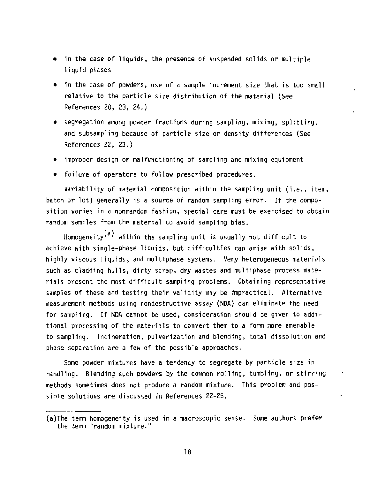- in the case of liquids, the presence of suspended solids or multiple liquid phases
- in the case of powders, use of a sample increment size that is too small relative to the particle size distribution of the material (See References 20, 23, 24.)
- segregation among powder fractions during sampling, mixing, splitting, and subsampling because of particle size or density differences (See References 22, 23.)
- improper design or malfunctioning of sampling and mixing equipment
- failure of operators to follow prescribed procedures.

Variability of material composition within the sampling unit (i.e., item, batch or lot) generally is a source of random sampling error. If the composition varies in a nonrandom fashion, special care must be exercised to obtain random samples from the material to avoid sampling bias.

Homogeneity<sup>(a)</sup> within the sampling unit is usually not difficult to achieve with single-phase liquids, but difficulties can arise with solids, highly viscous liquids, and multiphase systems. Very heterogeneous materials such as cladding hulls, dirty scrap, dry wastes and multiphase process materials present the most difficult sampling problems. Obtaining representative samples of these and testing their validity may be impractical. Alternative measurement methods using nondestructive assay (NDA) can eliminate the need for sampling. If NDA cannot be used, consideration should be given to additional processing of the materials to convert them to a form more amenable to sampling. Incineration, pulverization and blending, total dissolution and phase separation are a few of the possible approaches.

Some powder mixtures have a tendency to segregate by particle size in handling. Blending such powders by the common rolling, tumbling, or stirring methods sometimes does not produce a random mixture. This problem and possible solutions are discussed in References 22-25.

<sup>(</sup>a)The term homogeneity is used in a macroscopic sense. Some authors prefer the term "random mixture."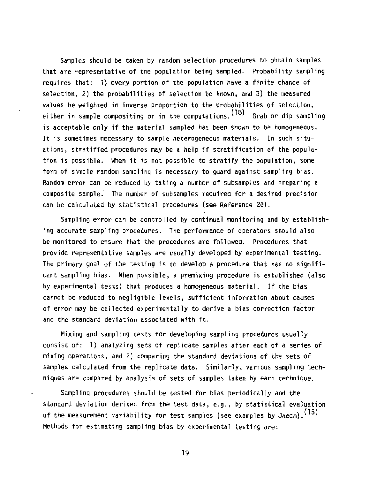Samples should be taken by random selection procedures to obtain samples that are representative of the population being sampled. Probability sampling requires that: 1) every portion of the population have a finite chance of selection, 2) the probabilities of selection be known, and 3) the measured values be weighted in inverse proportion to the probabilities of selection, either in sample compositing or in the computations.  $(18)$  Grab or dip sampling is acceptable only if the material sampled has been shown .to be homogeneous. It is sometimes necessary to sample heterogeneous materials. In such situations, stratified procedures may be a help if stratification of the population is possible. When it is not possible to stratify the population, some form of simple random sampling is necessary to guard against sampling bias. Random error can be reduced by taking a number of subsamples and preparing a composite sample. The number of subsamples required for a desired precision can be calculated by statistical procedures (see Reference 20).

Sampling error can be controlled by continual monitoring and by establishing accurate sampling procedures. The performance of operators should also be monitored to ensure that the procedures are followed. Procedures that provide representative samples are usually deVeloped by experimental testing. The primary goal of the testing is to develop a procedure that has no significant sampling bias. When possible, a premixing procedure is established (also by experimental tests) that produces a homogeneous material. If the bias cannot be reduced to negligible levels, sufficient information about causes of error may be collected experimentally to derive a bias correction factor and the standard deviation associated with it.

Mixing and sampling tests for developing sampling procedures usually consist of: 1) analyzing sets of replicate samples after each of a series of mixing operations, and 2) comparing the standard deviations of the sets of samples calculated from the replicate data. Similarly, various sampling techniques are compared by analysis of sets of samples taken by each technique.

Sampling procedures should be tested for bias periodically and the standard deviation derived from the test data, e.g., by statistical evaluation of the measurement variability for test samples (see examples by Jaech).  $(15)$ Methods for estimating sampling bias by experimental testing are:

 $\blacksquare$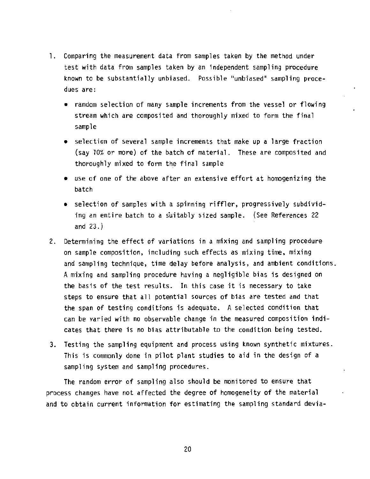- 1. Comparing the measurement data from samples taken by the method under test with data from samples taken by an independent sampling procedure known to be substantially unbiased. Possible "unbiased" sampling procedues are:
	- random selection of many sample increments from the vessel or flowing stream which are composited and thoroughly mixed to form the final sample
	- selection of several sample increments that make up a large fraction (say 10% or more) of the batch of material. These are composited and thoroughly mixed to form the final sample
	- use of one of the above after an extensive effort at homogenizing the batch
	- selection of samples with a spinning riffler~ progressively subdividing an entire batch to a suitably sized sample. (See References 22 and 23.)
- 2. Determining the effect of variations in a mixing and sampling procedure on sample composition, including such effects as mixing time, mixing and sampling technique, time delay before analysis, and ambient conditions. A mixing and sampling procedure having a negligible bias is designed on the basis of the test results. In this case it is necessary to take steps to ensure that all potential sources of bias are tested and that the span of testing conditions is adequate. A selected condition that can be varied with no observable change in the measured composition indicates that there is no bias attributable to the condition being tested.
- 3. Testing the sampling equipment and process using known synthetic mixtures. This is commonly done in pilot plant studies to aid in the design of a sampling system and sampling procedures.

The random error of sampling also should be monitored to ensure that process changes have not affected the degree of homogeneity of the material and to obtain current information for estimating the sampling standard devia-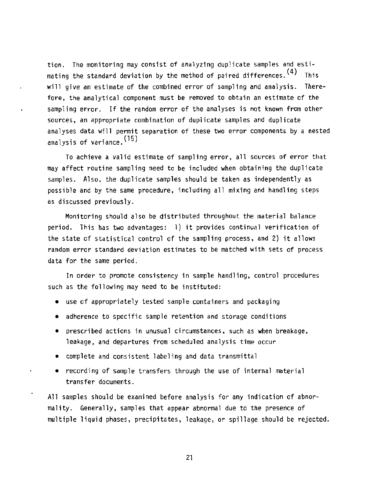tion. The monitoring may consist of analyzing duplicate samples and estimating the standard deviation by the method of paired differences. <sup>(4)</sup> This will give an estimate of the combined error of sampling and analysis. Therefore, the analytical component must be removed to obtain an estimate of the sampling error. If the random error of the analyses is not known from other sources, an appropriate combination of duplicate samples and duplicate analyses data will permit separation of these two error components by a nested analysis of variance.<sup>(15)</sup>

To achieve a valid estimate of sampling error, all sources of error that may affect routine sampling need to be included when obtaining the duplicate samples. Also, the duplicate samples should be taken as independently as possible and by the same procedure, including all mixing and handling steps as discussed previously.

Monitoring should also be distributed throughout the material balance period. This has two advantages: 1) it provides continual verification of the state of statistical control of the sampling process, and 2) it allows random error standard deviation estimates to be matched with sets of process data for the same period.

In order to promote consistency in sample handling, control procedures such as the following may need to be instituted:

- use of appropriately tested sample containers and packaging
- adherence to specific sample retention and storage conditions
- prescribed actions in unusual circumstances, such as when breakage, leakage, and departures from scheduled analysis time occur
- complete and consistent labeling and data transmittal
- recording of sample transfers through the use of internal material transfer documents.

All samples should be examined before analysis for any indication of abnormality. Generally, samples that appear abnormal due to the presence of multiple liquid phases, precipitates, leakage, or spillage should be rejected.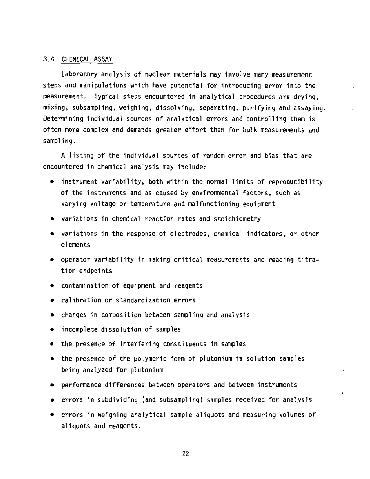### 3.4 CHEMICAL ASSAY

Laboratory analysis of nuclear materials may involve many measurement steps and manipulations which have potential for introducing error into the measurement. Typical steps encountered in analytical procedures are drying, mixing, subsampling, weighing, dissolving, separating, purifying and assaying. Determining individual sources of analytical errors and controlling them is often more complex and demands greater effort than for bulk measurements and sampling.

A listing of the individual sources of random error and bias that are encountered in chemical analysis may include:

- instrument variability, both within the normal limits of reproducibility of the instruments and as caused by environmental factors, such as varying voltage or temperature and malfunctioning equipment
- variations in chemical reaction rates and stoichiometry
- variations in the response of electrodes, chemical indicators, or other elements
- operator variability in making critical measurements and reading titration endpoints
- contamination of equipment and reagents
- calibration or standardization errors
- changes in composition between sampling and analysis
- incomplete dissolution of samples
- the presence of interfering constituents in samples
- the presence of the polymeric form of plutonium in solution samples being analyzed for plutonium
- performance differences between operators and between instruments
- errors in subdividing (and subsampling) samples received for analysis
- errors in weighing analytical sample aliquots and measuring volumes of aliquots and reagents.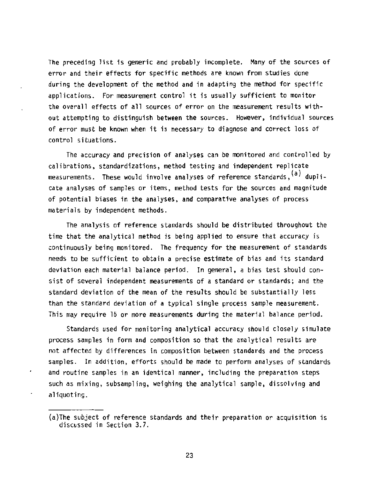The preceding list is generic and probably incomplete. Many of the sources of error and their effects for specific methods are known from studies done during the development of the method and in adapting the method for specific applications. For measurement control it is usually sufficient to monitor the overall effects of all sources of error on the measurement results without attempting to distinguish between the sources. However, individual sources of error must be known when it is necessary to diagnose and correct loss of control situations.

The accuracy and precision of analyses can be monitored and controlled by calibrations, standardizations, method testing and independent replicate measurements. These would involve analyses of reference standards, (a) duplicate analyses of samples or items, method tests for the sources and magnitude of potential biases in the analyses, and comparative analyses of process materials by independent methods.

The analysis of reference standards should be distributed throughout the time that the analytical method is being applied to ensure that accuracy is continuously being monitored. The frequency for the measurement of standards needs to be sufficient to obtain a precise estimate of bias and its standard deviation each material balance period. In general, a bias test should consist of several independent measurements of a standard or standards; and the standard deviation of the mean of the results should be substantially less than the standard deviation of a typical single process sample measurement. This may require 15 or more measurements during the material balance period.

Standards used for monitoring analytical accuracy should closely simulate process samples in form and composition so that the analytical results are not affected by differences in composition between standards and the process samples. In addition, efforts should be made to perform analyses of standards and routine samples in an identical manner, including the preparation steps such as mixing, subsampling, weighing the analytical sample, dissolving and ali quoting.

<sup>(</sup>a)The subject of reference standards and their preparation or acquisition is discussed in Section 3.7.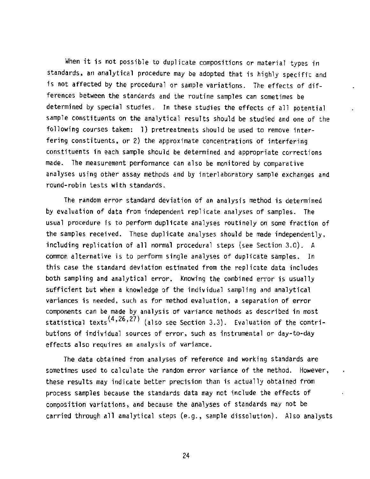When it is not possible to duplicate compositions or material types in standards, an analytical procedure may be adopted that is highly specific and is not affected by the procedural or sample variations. The effects of differences between the standards and the routine samples can sometimes be determined by special studies. In these studies the effects of all potential sample constituents on the analytical results should be studied and one of the following courses taken: 1) pretreatments should be used to remove interfering constituents, or 2) the approximate concentrations of interfering constituents in each sample should be determined and appropriate corrections made. The measurement performance can also be monitored by comparative analyses using other assay methods and by interlaboratory sample exchanges and round-robin tests with standards.

The random error standard deviation of an analysis method is determined by evaluation of data from independent replicate analyses of samples. The usual procedure is to perform duplicate analyses routinely on some fraction of the samples received. These duplicate analyses should be made independently, including replication of all normal procedural steps (see Section 3.0). A common alternative is to perform single analyses of duplicate samples. In this case the standard deviation estimated from the replicate data includes both sampling and analytical error. Knowing the combined error is usually sufficient but when a knowledge of the individual sampling and analytical variances is needed, such as for method evaluation, a separation of error components can be made by analysis of variance methods as described in most statistical texts<sup>(4,26,27)</sup> (also see Section 3.3). Evaluation of the contributions of individual sources of error, such as instrumental or day-to-day effects also requires an analysis of variance.

The data obtained from analyses of reference and working standards are sometimes used to calculate the random error variance of the method. However, these results may indicate better precision than is actually obtained from process samples because the standards data may not include the effects of composition variations, and because the analyses of standards may not be carried through all analytical steps (e.g., sample dissolution). Also analysts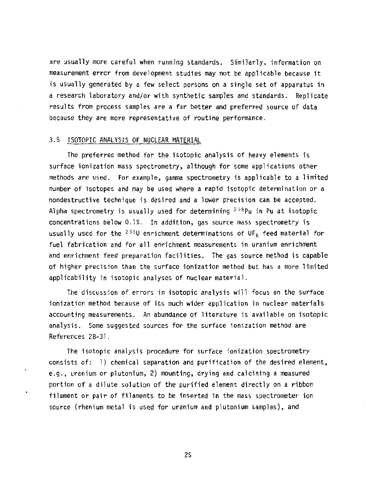are usually more careful when running standards. Similarly, information on measurement error from development studies may not be applicable because it is usually generated by a few select persons on a single set of apparatus in a research laboratory and/or with synthetic samples and standards. Replicate results from process samples are a far better and preferred source of data because they are more representative of routine performance.

# 3.5 ISOTOPIC ANALYSIS OF NUCLEAR MATERIAL

The preferred method for the isotopic analysis of heavy elements is surface ionization mass spectrometry, although for some applications other methods are used. For example, gamma spectrometry is applicable to a limited number of isotopes and may be used where a rapid isotopic determination or a nondestructive technique is desired and a lower precision can be accepted. Alpha spectrometry is usually used for determining <sup>238</sup>Pu in Pu at isotopic concentrations below 0.1%. In addition, gas source mass spectrometry is usually used for the  $235U$  enrichment determinations of UF<sub>6</sub> feed material for fuel fabrication and for all enrichment measurements in uranium enrichment and enrichment feed preparation facilities. The gas source method is capable of higher precision than the surface ionization method but has a more limited applicability in isotopic analyses of nuclear material.

The discussion of errors in isotopic analysis will focus on the surface ionization method because of its much wider application in nuclear materials accounting measurements. An abundance of literature is available on isotopic analysis. Some suggested sources for the surface ionization method are References 28-31 .

The isotopic analysis procedure for surface ionization spectrometry consists of: 1) chemical separation and purification of the desired element, e.g., uranium or plutonium, 2) mounting, drying and calcining a measured portion of a dilute solution of the purified element directly on a ribbon filament or pair of filaments to be inserted in the mass spectrometer ion source (rhenium metal is used for uranium and plutonium samples), and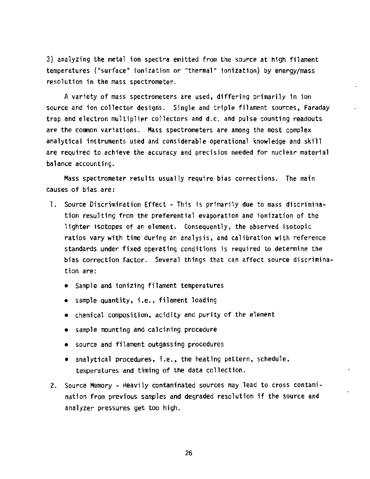3) analyzing the metal ion spectra emitted from the source at high filament temperatures ("surface" ionization or "thermal" ionization) by energy/mass resolution in the mass spectrometer.

A variety of mass spectrometers are used, differing primarily in ion source and ion collector designs. Single and triple filament sources, Faraday trap and electron multiplier collectors and d.c. and pulse counting readouts are the common variations. Mass spectrometers are among the most complex analytical instruments used and considerable operational knowledge and skill are required to achieve the accuracy and precision needed for nuclear material balance accounting.

Mass spectrometer results usually require bias corrections. The main causes of bias are:

- 1. Source Discrimination Effect- This is primarily due to mass discrimination resulting from the preferential evaporation and ionization of the lighter isotopes of an element. Consequently, the observed isotopic ratios vary with time during an analysis, and calibration with reference standards under fixed operating conditions is required to determine the bias correction factor. Several things that can affect source discrimination are:
	- Sample and ionizing filament temperatures
	- sample quantity. i.e., filament loading
	- chemical composition, acidity and purity of the element
	- sample mounting and calcining procedure
	- source and filament outgassing procedures
	- analytical procedures, i.e., the heating pattern, schedule. temperatures and timing of the data collection.
- 2. Source Memory Heavily contaminated sources may lead to cross contamination from previous samples and degraded resolution if the source and analyzer pressures get too high.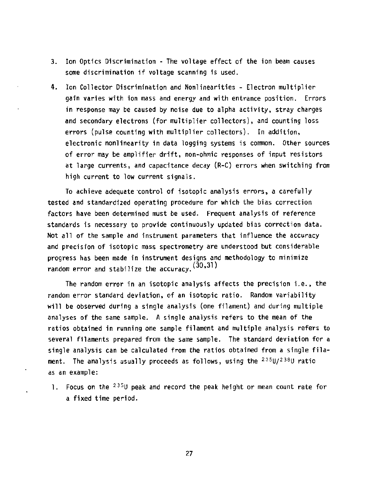- 3. Ion Optics Discrimination The voltage effect of the ion beam causes some discrimination if voltage scanning is used.
- 4. Ion Collector Discrimination and Nonlinearities Electron multiplier gain varies with ion mass and energy and with entrance position. Errors in response may be caused by noise due to alpha activity, stray charges and secondary electrons (for multiplier collectors), and counting loss errors (pulse counting with multiplier collectors). In addition, electronic nonlinearity in data logging systems is common. Other sources of error may be amplifier drift, non-ohmic responses of input resistors at large currents, and capacitance decay (R-C) errors when switching from high current to low current signals.

To achieve adequate ·control of isotopic analysis errors, a carefully tested and standardized operating procedure for which the bias correction factors have been determined must be used. Frequent analysis of reference standards is necessary to provide continuously updated bias correction data. Not all of the sample and instrument parameters that influence the accuracy and precision of isotopic mass spectrometry are understood but considerable progress has been made in instrument designs and methodology to minimize random error and stabilize the accuracy. $\left(30,31\right)$ 

The random error in an isotopic analysis affects the precision i.e., the random error standard deviation, of an isotopic ratio. Random variability will be observed during a single analysis (one filament) and during multiple analyses of the same sample. A single analysis refers to the mean of the ratios obtained in running one sample filament and multiple analysis refers to several filaments prepared from the same sample. The standard deviation for a single analysis can be calculated from the ratios obtained from a single filament. The analysis usually proceeds as follows, using the  $235U/238U$  ratio as an example:

1. Focus on the  $235U$  peak and record the peak height or mean count rate for a fixed time period.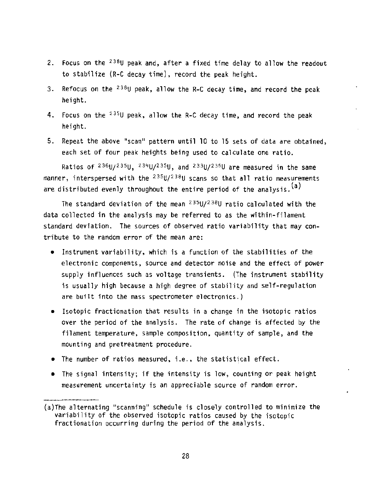- 2. Focus on the  $^{238}$ U peak and, after a fixed time delay to allow the readout to stabilize (R-C decay time), record the peak height.
- 3. Refocus on the  $^{238}$ U peak, allow the R-C decay time, and record the peak height.
- 4. Focus on the  $235U$  peak, allow the R-C decay time, and record the peak height.
- 5. Repeat the above "scan" pattern until 10 to 15 sets of data are obtained, each set of four peak heights being used to calculate one ratio.

Ratios of  $236U/235U$ ,  $234U/235U$ , and  $233U/235U$  are measured in the same manner, interspersed with the  $235$ U/ $238$ U scans so that all ratio measurements are distributed evenly throughout the entire period of the analysis.  $(a)$ 

The standard deviation of the mean  $235U/238U$  ratio calculated with the data collected in the analysis may be referred to as the within-filament standard deviation. The sources of observed ratio variability that may contribute to the random error of the mean are:

- Instrument variability, which is a function of the stabilities of the electronic components, source and detector noise and the effect of power supply influences such as voltage transients. (The instrument stability is usually high because a high degree of stability and self-regulation are built into the mass spectrometer electronics.)
- Isotopic fractionation that results in a change in the isotopic ratios over the period of the analysis. The rate of change is affected by the filament temperature, sample composition, quantity of sample, and the mounting and pretreatment procedure.
- The number of ratios measured, i.e., the statistical effect.
- The signal intensity; if the intensity is low, counting or peak height measurement uncertainty is an appreciable source of random error.

<sup>(</sup>a)The alternating "scanning" schedule is closely controlled to minimize the variability of the observed isotopic ratios caused by the isotopic fractionation occurring during the period of the analysis.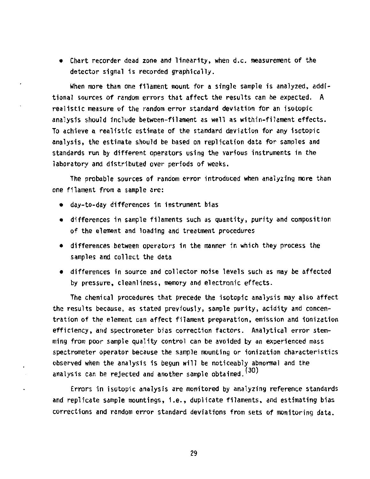• Chart recorder dead zone and linearity, when d.c. measurement of the detector signal is recorded graphically.

When more than one filament mount for a single sample is analyzed, additional sources of random errors that affect the results can be expected. A realistic measure of the random error standard deviation for an isotopic analysis should include between-filament as well as within-filament effects. To achieve a realistic estimate of the standard deviation for any isotopic analysis, the estimate should be based on replication data for samples and standards run by different operators using the various instruments in the laboratory and distributed over periods of weeks.

The probable sources of random error introduced when analyzing more than one filament from a sample are:

• day-to-day differences in instrument bias

÷,

- differences in sample filaments such as quantity, purity and composition of the element and loading and treatment procedures
- differences between operators in the manner in which they process the samples and collect the data
- differences in source and collector noise levels such as may be affected by pressure, cleanliness, memory and electronic effects.

The chemical procedures that precede the isotopic analysis may also affect the results because, as stated previously, sample purity, acidity and concentration of the element can affect filament preparation, emission and ionization efficiency, and spectrometer bias correction factors. Analytical error stemming from poor sample quality control can be avoided by an experienced mass spectrometer operator because the sample mounting or ionization characteristics observed when the analysis is begun will be noticeably abnormal and the analysis can be rejected and another sample obtained.<sup>(30)</sup>

Errors in isotopic analysis are monitored by analyzing reference standards and replicate sample mountings, i.e., duplicate filaments, and estimating bias corrections and random error standard deviations from sets of monitoring data.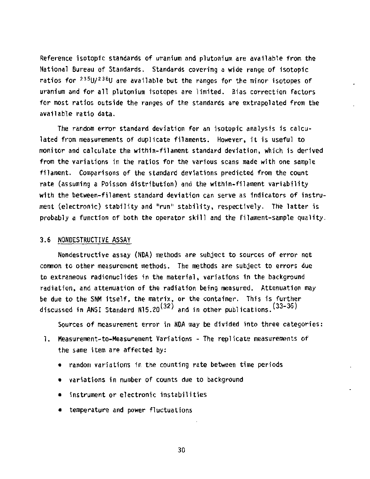Reference isotopic standards of uranium and plutonium are available from the National Bureau of Standards. Standards covering a wide range of isotopic ratios for  $235U/238U$  are available but the ranges for the minor isotopes of uranium and for all plutonium isotopes are limited. Bias correction factors for most ratios outside the ranges of the standards are extrapolated from the available ratio data.

The random error standard deviation for an isotopic analysis is calculated from measurements of duplicate filaments. However, it is useful to monitor and calculate the within-filament standard deviation, which is derived from the variations in the ratios for the various scans made with one sample filament. Comparisons of the standard deviations predicted from the count rate (assuming a Poisson distribution) and the within-filament variability with the between-filament standard deviation can serve as indicators of instrument (electronic) stability and "run" stability, respectively. The latter is probably a function of both the operator skill and the filament-sample quality.

### 3.6 NONDESTRUCTIVE ASSAY

Nondestructive assay (NDA) methods are subject to sources of error not common to other measurement methods. The methods are subject to errors due to extraneous radionuclides in the material, variations in the background radiation, and attenuation of the radiation being measured. Attenuation may be due to the SNM itself, the matrix, or the container. This is further discussed in ANSI Standard N15.20 $(32)$  and in other publications.  $(33-36)$ 

Sources of measurement error in NDA may be divided into three categories:

- 1. Measurement-to-Measurement Variations- The replicate measurements of the same item are affected by:
	- random variations in the counting rate between time periods
	- variations in number of counts due to background
	- instrument or electronic instabilities
	- temperature and power fluctuations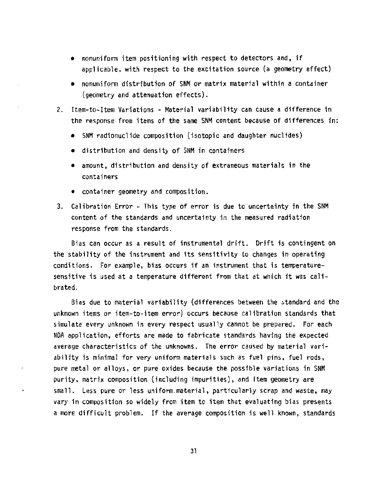- nonuniform item positioning with respect to detectors and, if applicable, with respect to the excitation source (a geometry effect)
- nonuniform distribution of SNM or matrix material within a container (geometry and attenuation effects).
- 2. Item-to-Item Variations Material variability can cause a difference in the response from items of the same SNM content because of differences in:
	- SNM radionuclide composition (isotopic and daughter nuclides)
	- distribution and density of SNM in containers
	- amount, distribution and density of extraneous materials in the containers
	- container geometry and composition.
- 3. Calibration Error This type of error is due to uncertainty in the SNM content of the standards and uncertainty in the measured radiation response from the standards.

Bias can occur as a result of instrumental drift. Drift is contingent on the stability of the instrument and its sensitivity to changes in operating conditions. For example, bias occurs if an instrument that is temperaturesensitive is used at a temperature different from that at which it was calibrated.

Bias due to material variability (differences between the standard and the unknown items or item-to-item error) occurs because calibration standards that simulate every unknown in every respect usually cannot be prepared. For each NDA application, efforts are made to fabricate standards having the expected average characteristics of the unknowns. The error caused by material variability is minimal for very uniform materials such as fuel pins, fuel rods, pure metal or alloys, or pure oxides because the possible variations in SNM purity, matrix composition (including impurities), and item geometry are small. Less pure or less uniform.material, particularly scrap and waste, may vary in composition so widely from item to item that evaluating bias presents a more difficult problem. If the average composition is well known, standards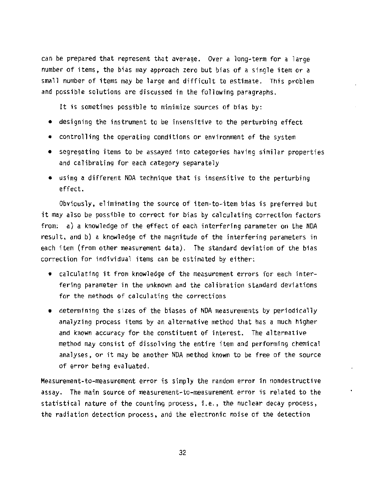can be prepared that represent that average. Over a long-term for a large number of items, the bias may approach zero but bias of a single item or a small number of items may be large and difficult to estimate. This problem and possible solutions are discussed in the following paragraphs.

It is sometimes possible to minimize sources of bias by:

- designing the instrument to be insensitive to the perturbing effect
- controlling the operating conditions or environment of the system
- segregating items to be assayed into categories having similar properties and calibrating for each category separately
- using a different NDA technique that is insensitive to the perturbing effect.

Obviously, eliminating the source of item-to-item bias is preferred but it may also be possible to correct for bias by calculating correction factors from: a} a knowledge of the effect of each interfering parameter on the NOA result, and b) a knowledge of the magnitude of the interfering parameters in each item (from other measurement data}. The standard deviation of the bias correction for individual items can be estimated by either:

- calculating it from knowledge of the measurement errors for each interfering parameter in the unknown and the calibration standard deviations for the methods of calculating the corrections
- determining the sizes of the biases of NDA measurements by periodically analyzing process items by an alternative method that has a much higher and known accuracy for the constituent of interest. The alternative method may consist of dissolving the entire item and performing chemical analyses, or it may be another NOA method known to be free of the source of error being evaluated.

Measurement-to-measurement error is simply the random error in nondestructive assay. The main source of measurement-to-measurement error is related to the statistical nature of the counting process, i.e., the nuclear decay process, the radiation detection process, and the electronic noise of the detection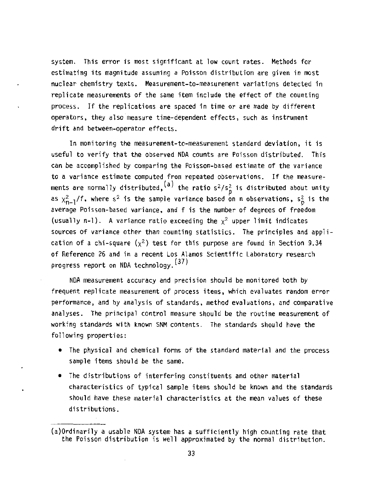system. This error is most significant at low count rates. Methods for estimating its magnitude assuming a Poisson distribution are given in most nuclear chemistry texts. Measurement-to-measurement variations detected in replicate measurements of the same item include the effect of the counting process. If the replications are spaced in time or are made by different operators, they also measure time-dependent effects, such as instrument drift and between-operator effects.

In monitoring the measurement-to-measurement standard deviation, it is useful to verify that the observed NDA counts are Poisson distributed. This can be accomplished by comparing the Poisson-based estimate of the variance to a variance estimate computed from repeated observations. If the measurements are normally distributed,  $(a)$  the ratio s<sup>2</sup>/s<sup>2</sup> is distributed about unity as  $\chi_{n-1}^2/f$ , where s<sup>2</sup> is the sample variance based on n observations, s<sub>n</sub><sup>2</sup> is the average Poisson-based variance, and f is the number of degrees of freedom (usually n-1). A variance ratio exceeding the  $x^2$  upper limit indicates sources of variance other than counting statistics. The principles and application of a chi-square  $(x^2)$  test for this purpose are found in Section 9.34 of Reference 26 and in a recent Los Alamos Scientific Laboratory research progress report on NDA technology.<sup>(37)</sup>

NDA measurement accuracy and precision should be monitored both by frequent replicate measurement of process items, which evaluates random error performance, and by analysis of standards, method evaluations, and comparative analyses. The principal control measure should be the routine measurement of working standards with known SNM contents. The standards should have the following properties:

- The physical and chemical forms of the standard material and the process sample items should be the same.
- The distributions of interfering constituents and other material characteristics of typical sample items should be known and the standards should have these material characteristics at the mean values of these distributions.

<sup>(</sup>a)Ordinarily a usable NDA system has a sufficiently high counting rate that the Poisson distribution is well approximated by the normal distribution.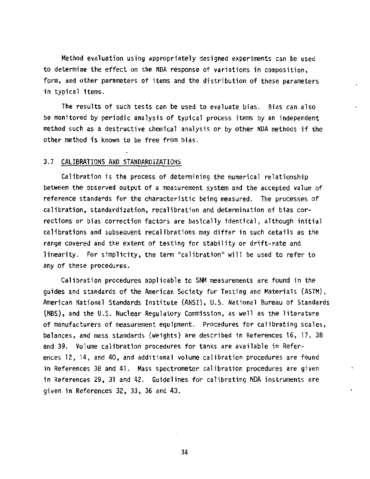Method evaluation using appropriately designed experiments can be used to determine the effect on the NDA response of variations in composition, form, and other parameters of items and the distribution of these parameters in typical items.

The results of such tests can be used to evaluate bias. Bias can also be monitored by periodic analysis of typical process items by an independent method such as a destructive chemical analysis or by other NDA methods if the other method is known to be free from bias.

#### 3.7 CALIBRATIONS AND STANDARDIZATIONS

Calibration is the process of determining the numerical relationship between the observed output of a measurement system and the accepted value of reference standards for the characteristic being measured. The processes of calibration, standardization, recalibration and determination of bias corrections or bias correction factors are basically identical, although initial calibrations and subsequent recalibrations may differ in such details as the range covered and the extent of testing for stability or drift-rate and linearity. For simplicity, the term "calibration" will be used to refer to any of these procedures.

Calibration procedures applicable to SNM measurements are found in the guides and standards of the American Society for Testing and Materials (ASTM), American National Standards Institute (ANSI), U.S. National Bureau of Standards (NBS), and the U.S. Nuclear Regulatory Commission, as well as the literature of manufacturers of measurement equipment. Procedures for calibrating scales, balances, and mass standards (weights) are described in References 16, 17, 38 and 39. Volume calibration procedures for tanks are available in References 12, 14, and 40, and additional volume calibration procedures are found in References 38 and 41. Mass spectrometer calibration procedures are given in References 29, 31 and 42. Guidelines for calibrating NDA instruments are given in References 32, 33, 36 and 43.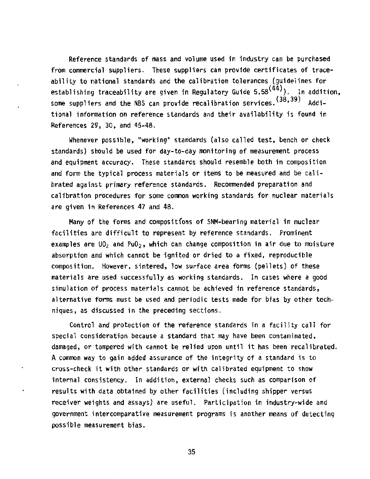Reference standards of mass and volume used in industry can be purchased from commercial suppliers. These suppliers can provide certificates of traceability to national standards and the calibration tolerances (guidelines for establishing traceability are given in Regulatory Guide  $5.58^{(44)}$ ). In addition, some suppliers and the NBS can provide recalibration services.<sup>(38,39)</sup> Additional information on reference standards and their availability is found in References 29, 30, and 45-48.

Whenever possible, "working" standards (also called test, bench or check standards) should be used for day-to-day monitoring of measurement process and equipment accuracy. These standards should resemble both in composition and form the typical process materials or items to be measured and be calibrated against primary reference standards. Recommended preparation and calibration procedures for some common working standards for nuclear materials are given in References 47 and 48.

Many of the forms and compositions of SNM-bearing material in nuclear facilities are difficult to represent by reference standards. Prominent examples are  $U_0$  and Pu $0_2$ , which can change composition in air due to moisture absorption and which cannot be ignited or dried to a fixed, reproducible composition. However, sintered, low surface area forms {pellets) of these materials are used successfully as working standards. In cases where a good simulation of process materials cannot be achieved in reference standards, alternative forms must be used and periodic tests made for bias by other techniques, as discussed in the preceding sections.

Control and protection of the reference standards in a facility call for special consideration because a standard that may have been contaminated, damaged, or tampered with cannot be relied upon until it has been recalibrated. A common way to gain added assurance of the integrity of a standard is to cross-check it with other standards or with calibrated equipment to show internal consistency. In addition, external checks such as comparison of results with data obtained by other facilities (including shipper versus receiver weights and assays) are useful. Participation in industry-wide and government intercomparative measurement programs is another means of detecting possible measurement bias.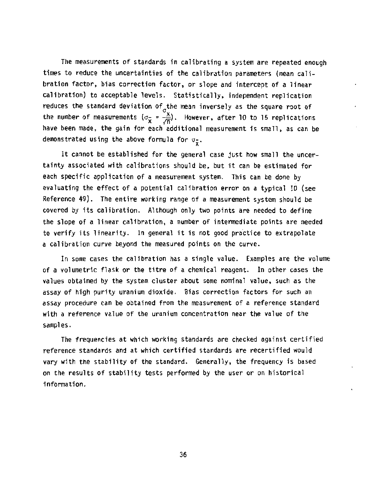The measurements of standards in calibrating a system are repeated enough times to reduce the uncertainties of the calibration parameters (mean calibration factor, bias correction factor, or slope and intercept of a linear calibration) to acceptable levels. Statistically, independent replication reduces the standard deviation of the mean inversely as the square root of the number of measurements ( $\sigma_{\overline{x}} = \frac{\overline{x}}{\sqrt{n}}$ ). However, after 10 to 15 replications have been made, the gain for each additional measurement is small, as can be demonstrated using the above formula for  $\sigma_{\overline{z}}$ .

It cannot be established for the general case just how small the uncertainty associated with calibrations should be, but it can be estimated for each specific application of a measurement system. This can be done by evaluating the effect of a potential calibration error on a typical ID (see Reference 49). The entire working range of a measurement system should be covered by its calibration. Although only two points are needed to define the slope of a linear calibration, a number of intermediate points are needed to verify its linearity. In general it is not good pra'ctice to extrapolate a calibration curve beyond the measured points on the curve.

In some cases the calibration has a single value. Examples are the volume of a volumetric flask or the titre of a chemical reagent. In other cases the values obtained by the system cluster about some nominal value, such as the assay of high purity uranium dioxide. Bias correction factors for such an assay procedure can be obtained from the measurement of a reference standard with a reference value of the uranium concentration near the value of the samples.

The frequencies at which working standards are checked against certified reference standards and at which certified standards are recertified would vary with the stability of the standard. Generally, the frequency is based on the results of stability tests performed by the user or on historical information.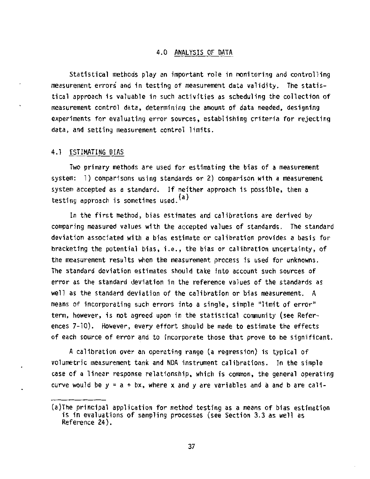### 4.0 ANALYSIS OF DATA

Statistical methods play an important role in monitoring and controlling measurement errors and in testing of measurement data validity. The statistical approach is valuable in such activities as scheduling the collection of measurement control data, determining the amount of data needed, designing experiments for evaluating error sources, establishing criteria for rejecting data, and setting measurement control limits.

### 4.1 ESTIMATING BIAS

Two primary methods are used for estimating the bias of a measurement system: 1) comparisons using standards or 2) comparison with a measurement system accepted as a standard. If neither approach is possible, then a testing approach is sometimes used. (a)

In the first method, bias estimates and calibrations are derived by comparing measured values with the accepted values of standards. The standard deviation associated with a bias estimate or calibration provides a basis for bracketing the potential bias, i.e., the bias or calibration uncertainty, of the measurement results when the measurement process is used for unknowns. The standard deviation estimates should take into account such sources of error as the standard deviation in the reference values of the standards as well as the standard deviation of the calibration or bias measurement. A means of incorporating such errors into a single, simple "limit of error" term, however, is not agreed upon in the statistical community (see References 7-10). However, every effort should be made to estimate the effects of each source of error and to incorporate those that prove to be significant.

A calibration over an operating range (a regression) is typical of volumetric measurement tank and NDA instrument calibrations. In the simple case of a linear response relationship, which is common, the general operating curve would be  $y = a + bx$ , where x and y are variables and a and b are cali-

<sup>(</sup>a)The principal application for method testing as a means of bias estimation is in evaluations of sampling processes (see Section 3.3 as well as Reference 24).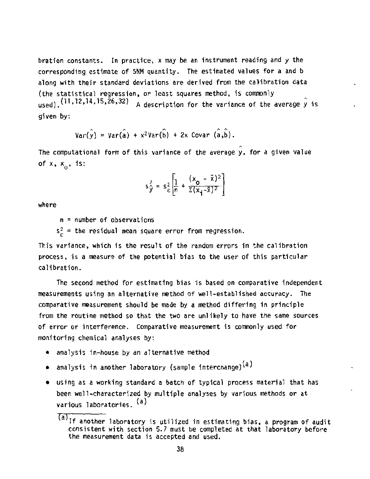bration constants. In practice, x may be an instrument reading and y the corresponding estimate of SNM quantity. The estimated values for a and b along with their standard deviations are derived from the calibration data {the statistical regression, or least squares method, is commonly  $\frac{1}{2}$  (11,12,14,15,26,32) A description for the variance of the average y is given by:

$$
Var(\hat{y}) = Var(\hat{a}) + x^2Var(\hat{b}) + 2x Covar(\hat{a}, \hat{b}).
$$

The computational form of this variance of the average  $\hat{y}$ , for a given value of x, x<sub>o</sub>, is:

$$
s_{\hat{y}}^2 = s_{\varepsilon}^2 \left[ \frac{1}{n} + \frac{(x_0 - \bar{x})^2}{\Sigma (x_1 - \bar{x})^2} \right]
$$

where

n = number of observations

 $s_{\epsilon}^2$  = the residual mean square error from regression.

This variance, which is the result of the random errors in the calibration process. is a measure of the potential bias to the user of this particular calibration.

The second method for estimating bias is based on comparative independent measurements using an alternative method of well-established accuracy. The comparative measurement should be made by a method differing in principle from the routine method so that the two are unlikely to have the same sources of error or interference. Comparative measurement is commonly used for monitoring chemical analyses by:

- analysis in-house by an alternative method
- analysis in another laboratory (sample interchange)<sup>(a)</sup>
- using as a working standard a batch of typical process material that has been well~characterized by multiple analyses by various methods or at various laboratories. {a)

 $(a)$ If another laboratory is utilized in estimating bias, a program of audit consistent with section 5.7 must be completed at that laboratory before the measurement data is accepted and used.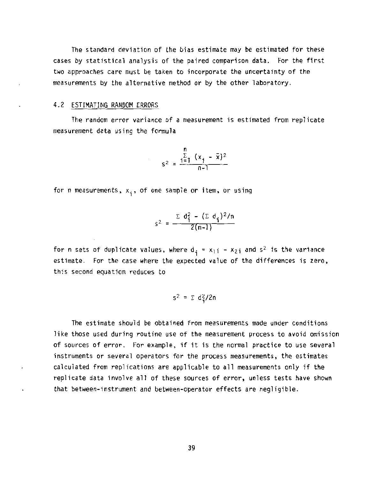The standard deviation of the bias estimate may be estimated for these cases by statistical analysis of the paired comparison data. For the first twa approaches care must be taken to incorporate the uncertainty of the measurements by the alternative method or by the other laboratory.

### 4.2 ESTIMATING RANDOM ERRORS

The random error variance of a measurement is estimated from replicate measurement data using the formula

$$
s^{2} = \frac{\sum_{i=1}^{n} (x_{i} - \bar{x})^{2}}{n-1}
$$

for n measurements,  $x_i$ , of one sample or item, or using

$$
s^{2} = \frac{\sum d_{i}^{2} - (\sum d_{i})^{2}/n}{2(n-1)}
$$

for n sets of duplicate values, where  $d_i = x_{1i} - x_{2i}$  and  $s^2$  is the variance estimate. For the case where the expected value of the differences is zero, this second equation reduces to

$$
s^2 = \sum d_i^2/2n
$$

The estimate should be obtained from measurements made under conditions like those used during routine use of the measurement process to avoid omission of sources of error. For example, if it is the normal practice to use several instruments or several operators for the process measurements, the estimates calculated from replications are applicable to all measurements only if the replicate data involve all of these sources of error, unless tests have shown that between-instrument and between-operator effects are negligible.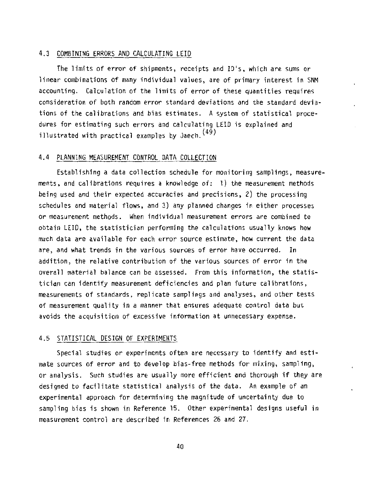# 4.3 COMBINING ERRORS AND CALCULATING LEID

The limits of error of shipments, receipts and ID's, which are sums or linear combinations of many individual values, are of primary interest in SNM accounting. Calculation of the limits of error of these quantities requires consideration of both random error standard deviations and the standard deviations of the calibrations and bias estimates. A system of statistical procedures for estimating such errors and calculating LEIO is explained and illustrated with practical examples by Jaech. $^{(49)}$ 

# 4.4 PLANNING MEASUREMENT CONTROL DATA COLLECTION

Establishing a data collection schedule for monitoring samplings, measurements, and calibrations requires a knowledge of: 1) the measurement methods being used and their expected accuracies and precisions, 2) the processing schedules and material flows, and 3) any planned changes in either processes or measurement methods. When individual measurement errors are combined to obtain LEID, the statistician performing the calculations usually knows how much data are available for each error source estimate, how current the data are, and what trends in the various sources of error have occurred. In addition, the relative contribution of the various sources of error in the overall material balance can be assessed. From this information, the statistician can identify measurement deficiencies and plan future calibrations, measurements of standards, replicate samplings and analyses, and other tests of measurement quality in a manner that ensures adequate control data but avoids the acquisition of excessive information at unnecessary expense.

### 4.5 STATISTICAL DESIGN OF EXPERIMENTS

Special studies or experiments often are necessary to identify and estimate sources of error and to develop bias-free methods for mixing, sampling, or analysis. Such studies are usually more efficient and thorough if they are designed to facilitate statistical analysis of the data. An example of an experimental approach for determining the magnitude of uncertainty due to sampling bias is shown in Reference 15. Other experimental designs useful in measurement control are described in References 26 and 27.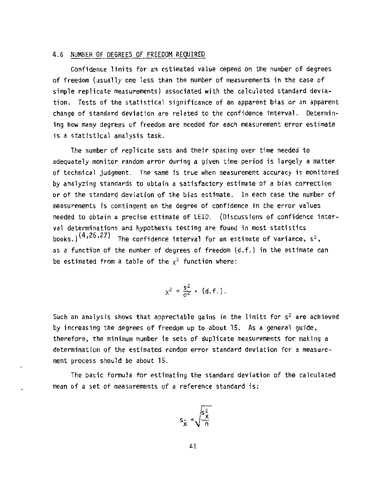### 4.6 NUMBER OF DEGREES OF FREEDOM REQUIRED

Confidence limits for an estimated value depend on the number of degrees of freedom (usually one less than the number of measurements in the case of simple replicate measurements) associated with the calculated standard deviation. Tests of the statistical significance of an apparent bias or an apparent change of standard deviation are related to the confidence interval. Determining how many degrees of freedom are needed for each measurement error estimate is a statistical analysis task.

The number of replicate sets and their spacing over time needed to adequately monitor random error during a given time period is largely a matter of technical judgment. The same is true when measurement accuracy is monitored by analyzing standards to obtain a satisfactory estimate of a bias correction or of the standard deviation of the bias estimate. In each case the number of measurements is contingent on the degree of confidence in the error values needed to obtain a precise estimate of LEID. (Discussions of confidence interval determinations and hypothesis testing are found in most statistics books.) $(4, 26, 27)$  The confidence interval for an estimate of variance, s<sup>2</sup>, as a function of the number of degrees of freedom (d. f.) in the estimate can be estimated from a table of the  $\chi^2$  function where:

$$
\chi^2 = \frac{s^2}{\sigma^2} \cdot (d.f.).
$$

Such an analysis shows that appreciable gains in the limits for  $s<sup>2</sup>$  are achieved by increasing the degrees of freedom up to about 15. As a general guide, therefore, the minimum number in sets of duplicate measurements for making a determination of the estimated random error standard deviation for a measurement process should be about 15.

The basic formula for estimating the standard deviation of the calculated mean of a set of measurements of a reference standard is:

$$
s_{\overline{x}} = \sqrt{\frac{s_{\overline{x}}^2}{n}}
$$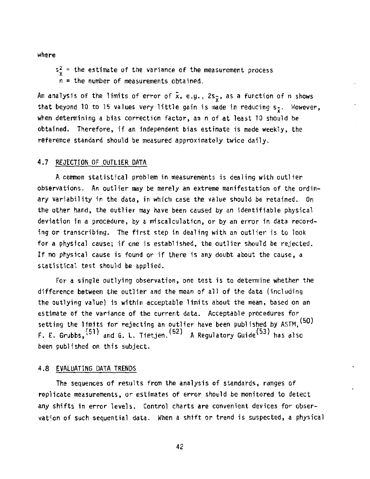where

 $s_v^2$  = the estimate of the variance of the measurement process

 $n =$  the number of measurements obtained.

An analysis of the limits of error of  $\bar{x}$ , e.g.,  $2s_{\bar{z}}$ , as a function of n shows that beyond 10 to 15 values very little gain is made in reducing  $s_{\overline{x}}$ . However, when determining a bias correction factor, an n of at least 10 should be obtained. Therefore, if an independent bias estimate is made weekly, the reference standard should be measured approximately twice daily.

# 4.7 REJECTION OF OUTLIER DATA

A common statistical problem in measurements is dealing with outlier observations. An outlier may be merely an extreme manifestation of the ordinary variability in the data, in which case the value should be retained. On the other hand, the outlier may have been caused by an identifiable physical deviation in a procedure, by a miscalculation, or by an error in data recording or transcribing. The first step in dealing with an outlier is to look for a physical cause; if one is established, the outlier should be rejected. If no physical cause is found or if there is any doubt about the cause, a statistical test should be applied.

For a single outlying observation, one test is to determine whether the difference between the outlier and the mean of all of the data (including the outlying value) is within acceptable limits about the mean, based on an estimate of the variance of the current data. Acceptable procedures for setting the limits for rejecting an outlier have been published by ASTM, $^{(50)}$ F. E. Grubbs,  $(51)$  and G. L. Tietjen.  $(52)$  A Regulatory Guide  $(53)$  has also been published on this subject.

# 4.8 EVALUATING DATA TRENDS

The sequences of results from the analysis of standards, ranges of replicate measurements, or estimates of error should be monitored to detect any shifts in error levels. Control charts are convenient devices for observation of such sequential data. When a shift or trend is suspected, a physical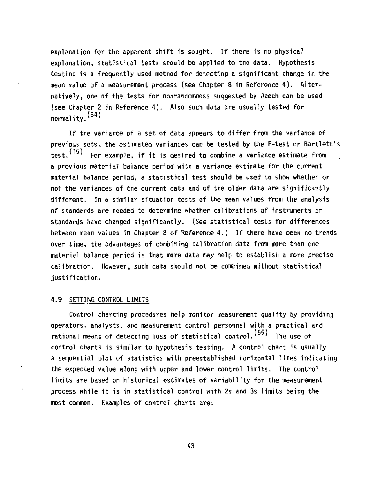explanation for the apparent shift is sought. If there is no physical explanation, statistical tests should be applied to the data. Hypothesis testing is a frequently used method for detecting a significant change in the mean value of a measurement process (see Chapter 8 in Reference 4). Alternatively, one of the tests for nonrandomness suggested by Jaech can be used (see Chapter 2 in Reference 4). Also such data are usually tested for normality. $(54)$ 

If the variance of a set of data appears to differ from the variance of previous sets, the estimated variances can be tested by the F-test or Bartlett's test.<sup>(15)</sup> For example, if it is desired to combine a variance estimate from a previous material balance period with a variance estimate for the current material balance period, a statistical test should be used to show whether or not the variances of the current data and of the older data are significantly different. In a similar situation tests of the mean values from the analysis of standards are needed to determine whether calibrations of instruments or standards have changed significantly. (See statistical tests for differences between mean values in Chapter 8 of Reference 4.) If there have been no trends over time, the advantages of combining calibration data from more than one material balance period is that more data may help to establish a more precise calibration. However. such data should not be combined without statistical justification.

# 4.9 SETTING CONTROL LIMITS

Control charting procedures help monitor measurement quality by providing operators, analysts. and measurement control personnel with a practical and rational means of detecting loss of statistical control.<sup>(55)</sup> The use of control charts is similar to hypothesis testing. A control chart is usually a sequential plot of statistics with preestablished horizontal lines indicating the expected value along with upper and lower control limits. The control limits are based on historical estimates of variability for the measurement process while it is in statistical control with 2s and 3s limits being the most common. Examples of control charts are: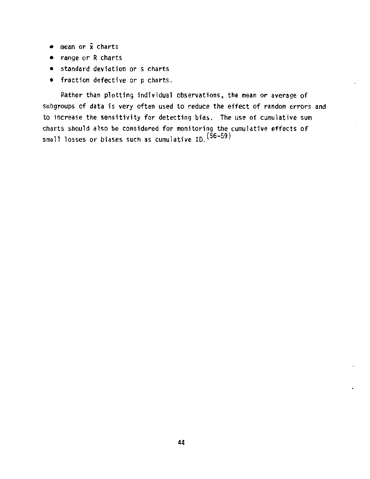- $\bullet$  mean or  $\bar{x}$  charts
- range or R charts
- standard deviation or s charts
- fraction defective or p charts.

Rather than plotting individual observations, the mean or average of subgroups of data is very often used to reduce the effect of random errors and to increase the sensitivity for detecting bias. The use of cumulative sum charts should also be considered for monitoring the cumulative effects of small losses or biases such as cumulative ID. (56-59)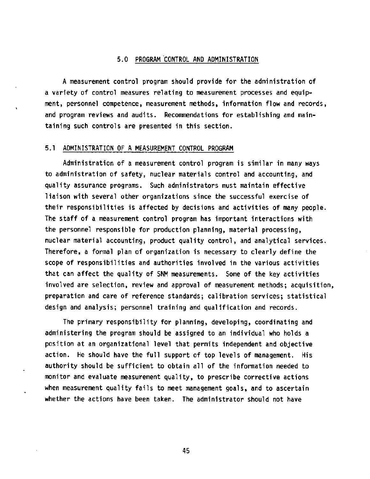## 5.0 PROGRAM-CONTROL AND ADMINISTRATION

A measurement control program should provide for the administration of a variety of control measures relating to measurement processes and equipment, personnel competence, measurement methods, information flow and records, and program reviews and audits. Recommendations for establishing and maintaining such controls are presented in this section.

### 5.1 ADMINISTRATION OF A MEASUREMENT CONTROL PROGRAM

Administration of a measurement control program is similar in many ways to administration of safety, nuclear materials control and accounting, and quality assurance programs. Such administrators must maintain effective liaison with several other organizations since the successful exercise of their responsibilities is affected by decisions and activities of many people. The staff of a measurement control program has important interactions with the personnel responsible for production planning, material processing, nuclear material accounting, product quality control, and analytical services. Therefore, a formal plan of organization is necessary to clearly define the scope of responsibilities and authorities involved in the various activities that can affect the quality of SNM measurements. Some of the key activities involved are selection, review and approval of measurement methods; acquisition, preparation and care of reference standards; calibration services; statistical design and analysis; personnel training and qualification and records.

The primary responsibility for planning, developing, coordinating and administering the program should be assigned to an individual who holds a position at an organizational level that permits independent and objective action. He should have the full support of top levels of management. His authority should be sufficient to obtain all of the information needed to monitor and evaluate measurement quality, to prescribe corrective actions when measurement quality fails to meet management goals, and to ascertain whether the actions have been taken. The administrator should not have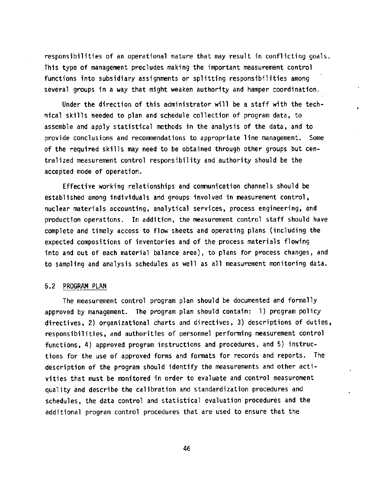responsibilities of an operational nature that may result in conflicting goals. This type of management precludes making the important measurement control functions into subsidiary assignments or splitting responsibilities among several groups in a way that might weaken authority and hamper coordination.

Under the direction of this administrator will be a staff with the technical skills needed to plan and schedule collection of program data, to assemble and apply statistical methods in the analysis of the data, and to provide conclusions and recommendations to appropriate line management. Some of the required skills may need to be obtained through other groups but centralized measurement control responsibility and authority should be the accepted mode of operation.

Effective working relationships and communication channels should be established among individuals and groups involved in measurement control, nuclear materials accounting, analytical services, process engineering, and production operations. In addition, the measurement control staff should have complete and timely access to flow sheets and operating plans (including the expected compositions of inventories and of the process materials flowing into and out of each material balance area), to plans for process changes, and to sampling and analysis schedules as well as all measurement monitoring data.

### 5.2 PROGRAM PLAN

The measurement control program plan should be documented and formally approved by management. The program plan should contain: 1) program policy directives, 2) organizational charts and directives, 3) descriptions of duties, responsibilities, and authorities of personnel performing measurement control functions, 4) approved program instructions and procedures, and 5) instructions for the use of approved forms and formats for records and reports. The description of the program should identify the measurements and other activities that must be monitored in order to evaluate and control measurement quality and describe the calibration and standardization procedures and schedules, the data control and statistical evaluation procedures and the additional program control procedures that are used to ensure that the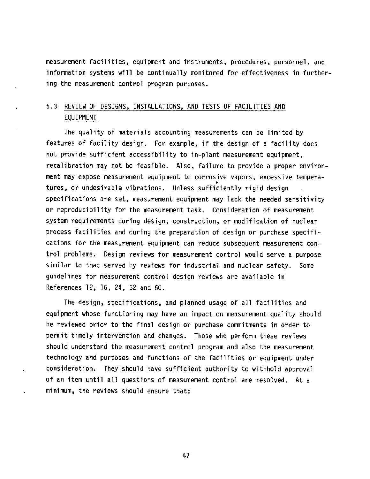measurement facilities, equipment and instruments, procedures, personnel, and information systems will be continually monitored for effectiveness in furthering the measurement control program purposes.

# 5.3 REVIEW OF DESIGNS, INSTALLATIONS, AND TESTS OF FACILITIES AND EQUIPMENT

The quality of materials accounting measurements can be limited by features of facility design. For example, if the design of a facility does not provide sufficient accessibility to in-plant measurement equipment, recalibration may not be feasible. Also, failure to provide a proper environment may expose measurement equipment to corrosive vapors, excessive tempera tures, or undesirable vibrations. Unless sufficiently rigid design specifications are set, measurement equipment may lack the needed sensitivity or reproducibility for the measurement task. Consideration of measurement system requirements during design, construction, or modification of nuclear process facilities and during the preparation of design or purchase specifications for the measurement equipment can reduce subsequent measurement control problems. Design reviews for measurement control would serve a purpose similar to that served by reviews for industrial and nuclear safety. Some guidelines for measurement control design reviews are available in References 12, 16, 24, 32 and 60.

The design, specifications, and planned usage of all facilities and equipment whose functioning may have an impact on measurement quality should be reviewed prior to the final design or purchase commitments in order to permit timely intervention and changes. Those who perform these reviews should understand the measurement control program and also the measurement technology and purposes and functions of the facilities or equipment under consideration. They should have sufficient authority to withhold approval of an item until all questions of measurement control are resolved. At a minimum, the reviews should ensure that: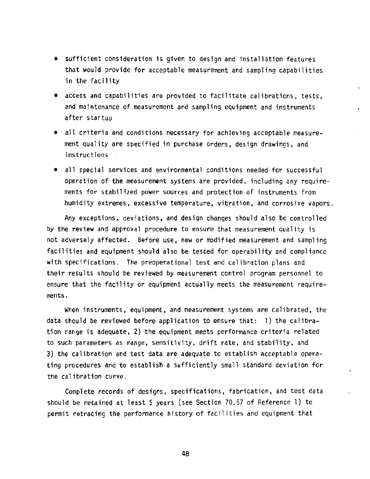- sufficient consideration is given to design and installation features that would provide for acceptable measurement and sampling capabilities in the facility
- access and capabilities are provided to facilitate calibrations, tests, and maintenance of measurement and sampling equipment and instruments after startup
- $\bullet$   $\,$  all criteria and conditions necessary for achieving acceptable measurement quality are specified in purchase orders, design drawings, and instructions
- all special services and environmental conditions needed for successful operation of the measurement systems are provided, including any requirements for stabilized power sources and protection of instruments from humidity extremes, excessive temperature, vibration, and corrosive vapors.

Any exceptions, deviations, and design changes should also be controlled by the review and approval procedure to ensure that measurement quality is not adversely affected. Before use, new or modified measurement and sampling facilities and equipment should also be tested for operability and compliance with specifications. The preoperational test and calibration plans and their results should be reviewed by measurement control program personnel to ensure that the facility or equipment actually meets the measurement requirements.

When instruments, equipment, and measurement systems are calibrated, the data should be reviewed before application to ensure that: 1) the calibration range is adequate, 2) the equipment meets performance criteria related to such parameters as range, sensitivity, drift rate, and stability, and 3) the calibration and test data are adequate to establish acceptable operating procedures and to establish a sufficiently small standard deviation for the calibration curve.

Complete records of designs, specifications, fabrication, and test data should be retained at least 5 years (see Section 70.57 of Reference 1} to permit retracing the performance history of facilities and equipment that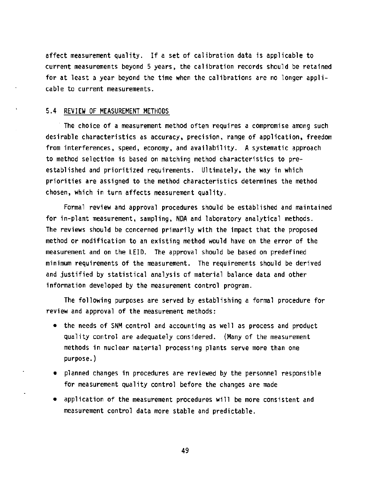affect measurement quality. If a set of calibration data is applicable to current measurements beyond 5 years, the calibration records should be retained for at least a year beyond the time when the calibrations are no longer applicable to current measurements.

### 5.4 REVIEW OF MEASUREMENT METHODS

The choice of a measurement method often requires a compromise among such desirable characteristics as accuracy, precision, range of application, freedom from interferences, speed, economy, and availability. A systematic approach to method selection is based on matching method characteristics to preestablished and prioritized requirements. Ultimately, the way in which priorities are assigned to the method characteristics determines the method chosen, which in turn affects measurement quality.

Formal review and approval procedures should be established and maintained for in-plant measurement, sampling, NDA and laboratory analytical methods. The reviews should be concerned primarily with the impact that the proposed method or modification to an existing method would have on the error of the measurement and on the LEID. The approval should be based on predefined minimum requirements of the measurement. The requirements should be derived and justified by statistical analysis of material balance data and other information developed by the measurement control program.

The following purposes are served by establishing a formal procedure for review and approval of the measurement methods:

- the needs of SNM control and accounting as well as process and product quality control are adequately considered. (Many of the measurement methods in nuclear material processing plants serve more than one purpose.)
- planned changes in procedures are reviewed by the personnel responsible for measurement quality control before the changes are made
- application of the measurement procedures will be more consistent and measurement control data more stable and predictable.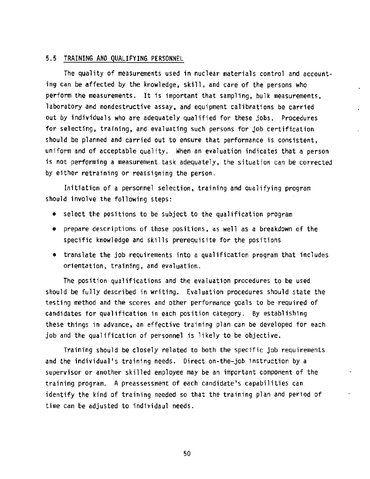# 5.5 TRAINING AND QUALIFYING PERSONNEL

The quality of measurements used in nuclear materials control and accounting can be affected by the knowledge, skill, and care of the persons who perform the measurements. It is important that sampling, bulk measurements, laboratory and nondestructive assay, and equipment calibrations be carried out by individuals who are adequately qualified for these jobs. Procedures for selecting, training, and evaluating such persons for job certification should be planned and carried out to ensure that performance is consistent, uniform and of acceptable quality. When an evaluation indicates that a person is not performing a measurement task adequately, the situation can be corrected by either retraining or reassigning the person.

Initiation of a personnel selection, training and qualifying program should involve the following steps:

- select the positions to be subject to the qualification program
- prepare descriptions of those positions, as well as a breakdown of the specific knowledge and skills prerequisite for the positions
- translate the job requirements into a qualification program that includes orientation, training, and evaluation.

The position qualifications and the evaluation procedures to be used should be fully described in writing. Evaluation procedures should state the testing method and the scores and other performance goals to be required of candidates for qualification in each position category. By establishing these things in advance, an effective training plan can be developed for each job and the qualification of personnel is likely to be objective.

Training should be closely related to both the specific job requirements and the individual's training needs. Direct on-the-job instruction by a supervisor or another skilled employee may be an important component of the training program. A preassessment of each candidate's capabilities can identify the kind of training needed so that the training plan and period of time can be adjusted to individaul needs.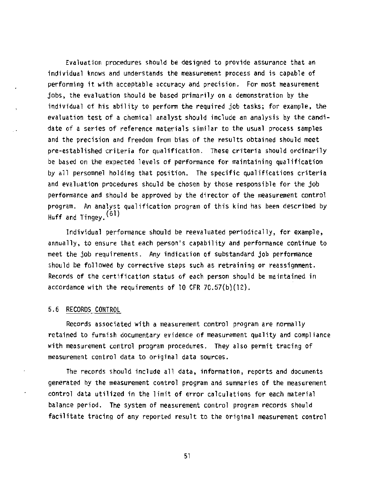Evaluation procedures should be designed to provide assurance that an individual knows and understands the measurement process and is capable of performing it with acceptable accuracy and precision. For most measurement jobs, the evaluation should be based primarily on a demonstration by the individual of his ability to perform the required job tasks; for example, the evaluation test of a chemical analyst should include an analysis by the candidate of a series of reference materials similar to the usual process samples and the precision and freedom from bias of the results obtained should meet pre-established criteria for qualification. These criteria should ordinarily be based on the expected levels of performance for maintaining qualification by all personnel holding that position. The specific qualifications criteria and evaluation procedures should be chosen by those responsible for the job performance and should be approved by the director of the measurement control program. An analyst qualification program of this kind has been described by Huff and Tingey. ( 6l)

Individual performance should be reevaluated periodically, for example, annually, to ensure that each person's capability and performance continue to meet the job requirements. Any indication of substandard job performance should be followed by corrective steps such as retraining or reassignment. Records of the certification status of each person should be maintained in accordance with the requirements of 10 CFR 70.57(b)(12).

# 5.6 RECORDS CONTROL

Records associated with a measurement control program are normally retained to furnish documentary evidence of measurement quality and compliance with measurement control program procedures. They also permit tracing of measurement control data to original data sources.

The records should include all data, information, reports and documents generated by the measurement control program and summaries of the measurement control data utilized in the limit of error calculations for each material balance period. The system of measurement control program records should facilitate tracing of any reported result to the original measurement control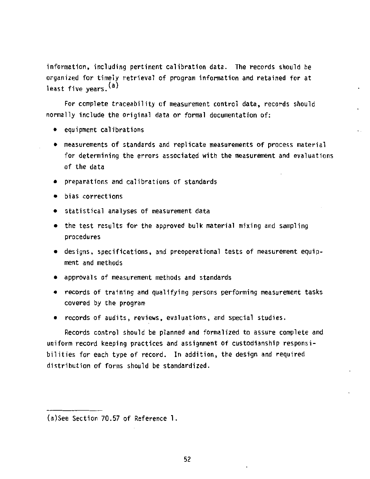information, including pertinent calibration data. The records should be organized for timely retrieval of program information and retained for at least five years. (a)

For complete traceability of measurement control data, records should normally include the original data or formal documentation of:

- equipment calibrations
- measurements of standards and replicate measurements of process material for determining the errors associated with the measurement and evaluations of the data
- preparations and calibrations of standards
- bias corrections
- statistical analyses of measurement data
- the test results for the approved bulk material mixing and sampling procedures
- designs, specifications, and preoperational tests of measurement equipment and methods
- approvals of measurement methods and standards
- records of training and qualifying persons performing measurement tasks covered by the program
- records of audits, reviews, evaluations, and special studies.

Records control should be planned and formalized to assure complete and uniform record keeping practices and assignment of custodianship responsibilities for each type of record. In addition, the design and required distribution of forms should be standardized.

<sup>(</sup>a)See Section 70.57 of Reference 1.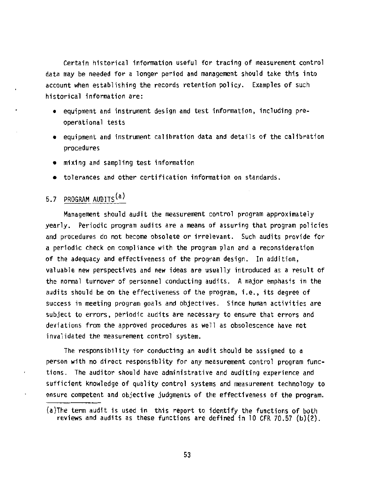Certain historical information useful for tracing of measurement control data may be needed for a longer period and management should take this into account when establishing the records retention policy. Examples of such historical information are:

- equipment and instrument design and test information, including preoperational tests
- equipment and instrument calibration data and details of the calibration procedures
- mixing and sampling test information
- tolerances and other certification information on standards.

# 5.7 PROGRAM AUDITS<sup>(a)</sup>

 $\cdot$ 

Management should audit the measurement control program approximately yearly. Periodic program audits are a means of assuring that program policies and procedures do not become obsolete or irrelevant. Such audits provide for a periodic check on compliance with the program plan and a reconsideration of the adequacy and effectiveness of the program design. In addition, valuable new perspectives and new ideas are usually introduced as a result of the normal turnover of personnel conducting audits. A major emphasis in the audits should be on the effectiveness of the program, i.e., its degree of success in meeting program goals and objectives. Since human activities are subject to errors, periodic audits are necessary to ensure that errors and deviations from the approved procedures as well as obsolescence have not invalidated the measurement control system.

The responsibility for conducting an audit should be assigned to a person with no direct responsiblity for any measurement control program functions. The auditor should have administrative and auditing experience and sufficient knowledge of quality control systems and measurement technology to ensure competent and objective judgments of the effectiveness of the program.

<sup>(</sup>a)The term audit is used in this report to identify the functions of both reviews and audits as these functions are defined in 10 CFR 70.57 (b)(2).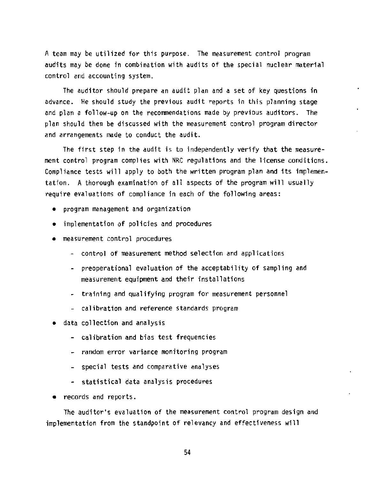A team may be utilized for this purpose. The measurement control program audits may be done in combination with audits of the special nuclear material control and accounting system.

The auditor should prepare an audit plan and a set of key questions in advance. He should study the previous audit reports in this planning stage and plan a follow-up on the recommendations made by previous auditors. The plan should then be discussed with the measurement control program director and arrangements made to conduct the audit.

The first step in the audit is to independently verify that the measurement control program complies with NRC regulations and the license conditions. Compliance tests will apply to both the written program plan and its implementation. A thorough examination of all aspects of the program will usually require evaluations of compliance in each of the following areas:

- program management and organization
- implementation of policies and procedures
- measurement control procedures
	- control of measurement method selection and applications
	- preoperational evaluation of the acceptability of sampling and measurement equipment and their installations
	- training and qualifying program for measurement personnel
	- calibration and reference standards program
- data collection and analysis
	- calibration and bias test frequencies
	- random error variance monitoring program
	- special tests and comparative analyses
	- statistical data analysis procedures
- records and reports.

The auditor's evaluation of the measurement control program design and implementation from the standpoint of relevancy and effectiveness will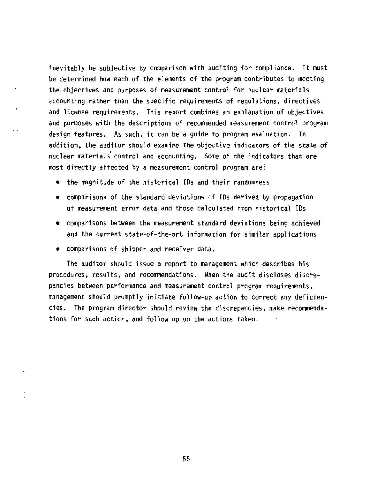inevitably be subjective by comparison with auditing for compliance. It must be determined how each of the elements of the program contributes to meeting the objectives and purposes of measurement control for nuclear materials accounting rather than the specific requirements of regulations, directives and license requirements. This report combines an explanation of objectives and purposes with the descriptions of recommended measurement control program design features. As such, it can be a guide to program evaluation. In addition, the auditor should examine the objective indicators of the state of nuclear materials control and accounting. Some of the indicators that are most directly affected by a measurement control program are:

- the magnitude of the historical IDs and their randomness
- comparisons of the standard deviations of IDs derived by propagation of measurement error data and those calculated from historical IDs
- comparisons between the measurement standard deviations being achieved and the current state-of-the-art information for similar applications
- comparisons of shipper and receiver data.

The auditor should issue a report to management which describes his procedures, results, and recommendations. When the audit discloses discrepancies between performance and measurement control program requirements, management should promptly initiate follow-up action to correct any deficiencies. The program director should review the discrepancies, make recommendations for such action, and follow up on the actions taken.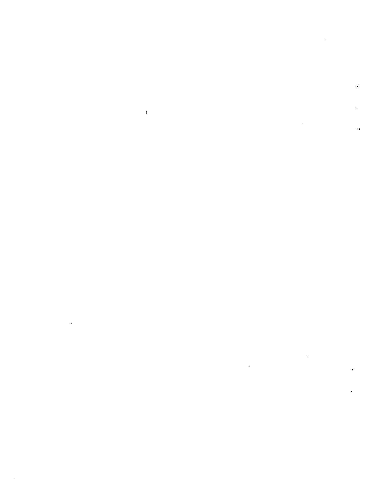$\label{eq:2.1} \mathcal{L}(\mathcal{L}^{\text{max}}_{\mathcal{L}}(\mathcal{L}^{\text{max}}_{\mathcal{L}}))\leq \mathcal{L}(\mathcal{L}^{\text{max}}_{\mathcal{L}}(\mathcal{L}^{\text{max}}_{\mathcal{L}}))$  $\bullet$  .  $\label{eq:2.1} \mathcal{L}(\mathcal{L}) = \mathcal{L}(\mathcal{L}) \otimes \mathcal{L}(\mathcal{L})$  $\label{eq:2.1} \frac{1}{\sqrt{2\pi}}\int_{\mathbb{R}^3}\frac{1}{\sqrt{2\pi}}\int_{\mathbb{R}^3}\frac{1}{\sqrt{2\pi}}\int_{\mathbb{R}^3}\frac{1}{\sqrt{2\pi}}\int_{\mathbb{R}^3}\frac{1}{\sqrt{2\pi}}\int_{\mathbb{R}^3}\frac{1}{\sqrt{2\pi}}\int_{\mathbb{R}^3}\frac{1}{\sqrt{2\pi}}\int_{\mathbb{R}^3}\frac{1}{\sqrt{2\pi}}\int_{\mathbb{R}^3}\frac{1}{\sqrt{2\pi}}\int_{\mathbb{R}^3}\frac{1$ 

 $\mathcal{L}^{\text{max}}_{\text{max}}$  and  $\mathcal{L}^{\text{max}}_{\text{max}}$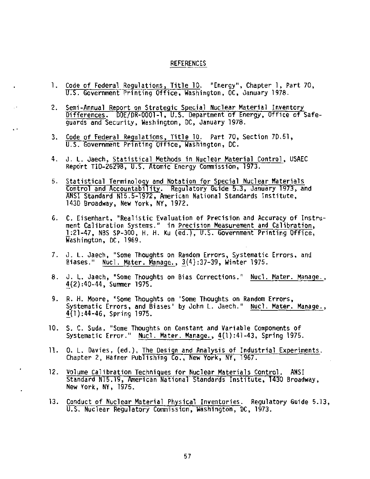## REFERENCES

- **1. Code of Federal Regulations, Title 10. "Energy", Chapter 1, Part 70, U.S. Government Printing Office, Washington, DC, January 1978.**
- **2. Semi-Annual Report on Strategic Special Nuclear Material Inventory**  Differences. DOE/DR-DODl-1, U.S. Department of Energy, Office of Safe**guards and Security, Washington, DC, January 1978.**
- 3. Code of Federal Regulations, Title 10. Part 70, Section 70.51, **U.S. Government Printing Office, Washington, DC.**

 $\ddot{\phantom{0}}$ 

- 4. J. L. Jaech, Statistical Methods in Nuclear Material Control, USAEC Repo'rt TID-26298, U.S. Atomic Energy Commission, 1973.
- 5. **Statistical** Terminolo~~ **and Notation for Special Nuclear Materials**  Control and Accountability. Regulatory Guide 5.3, January 1973, and ANSI Standard NlS.S-1972, American National Standards Institute, 1430 Broadway, New York, NY, 1972.
- 6. **C. Eisenhart, "Realistic Evaluation of Precision and Accuracy of Instrument Calibration Systems. 11 in Precision Measurement and Calibration,**  1:21-47, NBS SP-300, H. H. Ku (ed.), U.S. Government Printing Office, **Washington, DC, 1969.**
- **7. J. L. Jaech, "Some Thoughts on Random Errors, Systematic Errors, and**  Biases." Nucl. Mater. Manage., 3(4):37-39, Winter 1975.
- 8. J. L. Jaech, "Some Thoughts on Bias Corrections." Nucl. Mater. Manage., !(2):40-44, Summer 1975.
- **9. R. H. Moore, 11 Some Thoughts on 'Some Thoughts on Random Errors,**  Systematic Errors, and Biases' by John L. Jaech." Nucl. Mater. Manage., !(1):44-46, Spring 1975.
- 10. S. C. Suda, "Some Thoughts on Constant and Variable Components of Systematic Error." Nucl. Mater. Manage., 4(1):41-43, Spring 1975.
- 11. 0. l. Davies, (ed.), The Design and Analysis of Industrial Experiments. Chapter 2, Hafner Publishing Co., New York, NY, 1967.
- 12. Volume Calibration Techniques for Nuclear Materials Control. ANSI Standard Nl5.19, American National Standards Institute, 1430 Broadway, New York, NY, 1975.
- 13. Conduct of Nuclear Material Physical Inventories. Regulatory Guide 5.13, **U.S. Nuclear Regulatory Commission, Washington, DC, 1973.**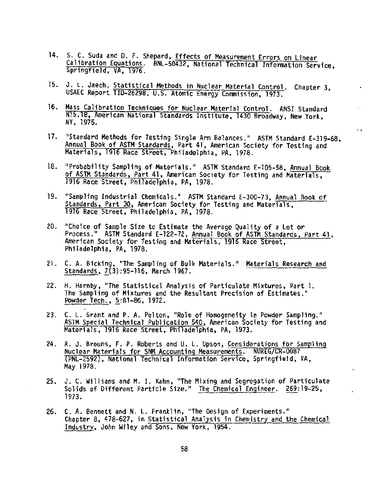- 14. S. C. Suda and D. F. Shepard, Effects of Measurement Errors on Linear Calibration Equations. BNL-50432, National Technical Information Service Springfield, VA, 1976. '
- 15. J. L. Jaech, Statistical Methods in Nuclear Material Control. Chapter 3, USAEC Report TID-262gs, U.S. Atomic Energy Commission, 1g73.

 $\bullet$ 

- 16. Mass Calibration Techniques for Nuclear Material Control. ANSI Standard Nl5.18, American National Standards Institute, 1430 Broadway, New York, NV, 1g75.
- 17. "Standard Methods for Testing Single Arm Balances." ASTM Standard E-319-68, Annual Book of ASTM Standards, Part 41, American Society for Testing and Materials, 1916 Race Street, Philadelphia, PA, 1g7s.
- 18. "Probability Sampling of Materials." ASTM Standard E-105-58, Annual Book of ASTM Standards, Part 41, American Society for Testing and Materials, 1g16 Race Street, Philadelphia, PA, lg7s.
- 1g. "Sampling Industrial Chemicals." ASTM Standard E-300-73, Annual Book of **Standards, Part 30, American Society for Testing and Materials,**  1916 Race Street, Philadelphia, PA, 1g7s.
- 20. "Choice of Sample Size to Estimate the Average Quality of a Lot or Process." ASTM Standard E-122-72, Annual Book of ASTM Standards, Part 41, American Society for Testing and Materials, 1g16 Race Street, Philadelphia, PA, lg7s.
- 21. C. A. Bicking, "The Sampling of Bulk Materials." Materials Research and Standards, 7(3):95-116, March 1967.
- **22. H. Harnby, "The Statistical Analysis of Particulate Mixtures, Part 1. The Sampling of Mixtures and the Resultant Precision of Estimates. <sup>11</sup>**
- 23. C. L. Grant and P. A. Pelton, "Role of Homogeneity in Powder Sampling." ASTM Special Technical Publication 540, American Society for Testing and Materials, 1916 Race Street, Philadelphia, PA, 1973.
- **24. R. J. Brauns, F. P. Roberts and U. L. Upson, Considerations for Sampling**  Nuclear Materials for SNM Accounting Measurements. NUREG/CR-0087 PNL-2Sg2 , National Technical Information Service, Springfield, VA, May 1978.
- 25. J. C. Williams and M. I. Kahn, "The Mixing and Segregation of Particulate Solids of Different Particle Size." The Chemical Engineer. 269:19-25, 1973.
- **26. C. A. Bennett and N. L. Franklin, "The Design of Experiments."**  Chapter 8, 478-627, in Statistical Analysis in Chemistry and the Chemical Industry, John Wiley and Sons, New York, 1954.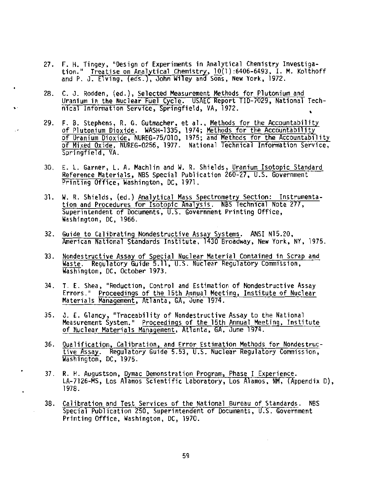- **27. F. H. Tingey, "Design of Experiments in Analytical Chemistry Investiga**tion." Treatise on Analytical Chemistry, 10(1):6406-6493, I. M. Kolthoff and P. J. Elving, (eds.), John Wiley and Sons, New York, 1972.
- 28. C. J. Rodden, (ed.), Selected Measurement Methods for Plutonium and Uranium in the Nuclear Fuel Cycle. USAEC Report TID-7029, National Tech**nical Information Service, Springfield, VA, 1972.**  •

,.

- 29. F. B. Stephens, R. G. Gutmacher, et al., Methods for the Accountability of Plutonium Dioxide. WASH-1335, 1974; Methods for the Accountability<br>of Uranium Dioxide, NUREG-75/010, 1975; and Methods for the Accountability of Mixed Oxide, NUREG-0256, 1977. National Technical Information Service, Springfield, VA.
- 30. E. L. Garner, L. A. Machlin and W. R. Shields, Uranium Isotopic Standard **Reference Materials, NBS Special Publication 260-27, U.S. Government**  Printing Office, Washington, DC, 1971.
- 31. W. R. Shields, (ed.) Analytical Mass Spectrometry Section: Instrumentation and Procedures for Isotopic Analysis. NBS Technical Note 277, **Superintendent of Documents, U.S. Government Printing Office,**  Washington, DC, 1966.
- 32. Guide to Calibrating Nondestructive Assay Systems. ANSI Nl5.20, American National Standards Institute, 1430 Broadway, New York, NY, 1975.
- 33. **Nondestructive Assay of Special Nuclear Material Contained in Scrap and Waste. Regulatory Guide 5.11, U.S. Nuclear Regulatory Commission,**  Washington, DC, October 1973.
- **34. T. E. Shea, "Reduction, Control and Estimation of Nondestructive Assay Errors." Proceedings of the 15th Annual Meeting, Institute of Nuclear Materials Management, Atlanta, GA, June 1974.**
- 35. J. E. Glancy, "Traceability of Nondestructive Assay to the National **Measurement System." Proceedings of the 15th Annual Meeting, Institute of Nuclear Materials Management, Atlanta, GA, June 1974.**
- **36. Qualification, Calibration, and Error Estimation Methods for Nondestructive Assay. Regulatory Guide 5.53, U.S. Nuclear Regulatory Commission,**  Washington, DC, 1975.
- 37. R. H. Augustson, Dymac Demonstration Program, Phase I Experience. LA-7126-MS, Los Alamos Scientific Laboratory, Los Alamos, NM, (Appendix D), 1978.
- 38. Calibration and Test Services of the National Bureau of Standards. NBS **Special Publication 250, Superintendent of Documents, U.S. Government**  Printing Office, Washington, DC, 1970.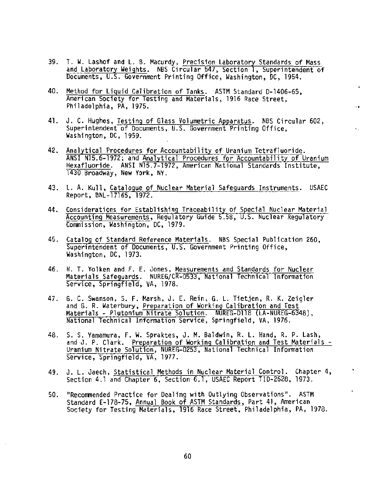- **39. T. W. Lashof and L. B. Macurdy, Precision Laboratory Standards of Mass and Laboratory Weights. NBS Circular 547, Section 1, Superintendent of Documents, U.S. Government Printing Office, Washington, DC, 1954.**
- 40. Method for Liquid Calibration of Tanks. ASTM Standard D-1406-65, **American Society for Testing and Materials, 1916 Race Street,** Philadelphia, PA, 1975.
- 41. J. C. Hughes, Testing of Glass Volumetric Apparatus. NBS Circular 602, **Superintendent of Documents, U.S. Government Printing Office,**  Washington, DC, 1959.

. .

 $\blacksquare$ 

- **42. Analytical Procedures for Accountability of Uranium Tetrafluoride.**  ANSI Nl5.6-1972; and Analytical Procedures for Accountability of Uranium Hexafluoride. ANSI N15.7-1972, American National Standards Institute, 1430 Broadway, New York, NY.
- 43. L.A. Kull, Catalogue of Nuclear Material Safeguards Instruments. USAEC Report, BNL-17165, 1972.
- **44. Considerations for Establishing Traceability of Special Nuclear Material Accounting Measurements, Regulatory Guide 5.58, U.S. Nuclear Regulatory Commission, Washington, DC, 1979.**
- **45. Catalog of Standard Reference Materials. NBS Special Publication 260, Superintendent of Documents, U.S. Government Printing Office,**  Washington, DC, 1973.
- **46. H. T. Yolken and F. E. Jones, Measurements and Standards for Nuclear**  Materials Safeguards. NUREG/CR-0533, National Technical Information **Service, Springfield, VA, 1978.**
- 47. G. C. Swanson, S. F. Marsh, J. E. Rein, G. L. Tietjen, R. K. Zeigler and G. R. Waterbury, Preparation of Working Calibration and Test Materials - Plutonium Nitrate Solution. NUREG-D118 (LA-NUREG-6348), National Technical Information Service, Springfield, VA, 1976.
- **48. S. S. Yamamura, F. W. Spraktes, J. M. Baldwin, R. L. Hand, R. P. Lash, and J. P. Clark. Preparation of Working Calibration and Test Materials Uranium Nitrate Solution, NUREG-0253, National Technical Information**  Service, Springfield, VA, 1977.
- 49. J. L. Jaech, Statistical Methods in Nuclear Material Control. Chapter 4, Section 4.1 and Chapter 6, Section 6.1, USAEC Report TID-2628, 1973.
- **50. 11 Reco11111ended Practice for Dealing with Outlying** Observations~~. **ASTM**  Standard E-178-75, Annual Book of ASTM Standards, Part 41, American Society for Testing Materials, 1916 Race Street, Philadelphia, PA, '1978.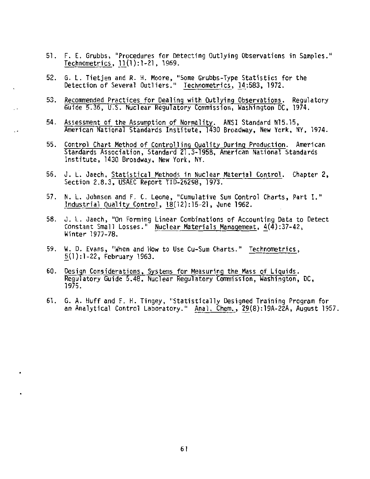- 51. F. E. Grubbs, "Procedures for Detecting Outlying Observations in Samples."<br>Technometrics, 11(1): l-21, 1969.
- **52. G. L. Tietjen and R. H. Moore, 11 Some Grubbs-Type Statistics for the**  Detection of Several Outliers." Technometrics, 14:583, 1972.
- **53. Recommended Practices for Dealing with Outlying Observations. Regulatory** Guide 5.36, U.S. Nuclear Regulatory Commission, Washington DC, 1974.
- 54. Assessment of the Assumption of Normality. ANSI Standard Nl5.15, American National Standards Institute, 1430 Broadway, New York, NY, 1974.
- 55. Control Chart Method of Controlling Quality During Production. American **Standards Association, Standard 21.3-1958, American National Standards**  Institute, 1430 Broadway, New York, NY.
- 56. J. L. Jaech, Statistical Methods in Nuclear Material Control. Chapter 2, Section 2.8.3, USAEC Report TID-26298, 1973.
- 57. N. L. Johnson and F. C. Leone, "Cumulative Sum Control Charts, Part I." Industrial Quality Control,  $18(12):15-21$ , June 1962.
- **58. J. L. Jaech, 11 0n Forming Linear Combinations of Accounting Data to Detect Constant Small Losses. <sup>11</sup>Nuclear Materials Management, 4(4):37-42,**  Winter 1977-78. -
- **59. W. D. Evans, 11When and How to Use Cu-Sum Charts. 11 Technometrics,**  5(1):1-22, February 1963.
- **60. Design Considerations, Systems for Measuring the Mass of Liquids.**  Regulatory Guide 5.48, Nuclear Regulatory Commission, Washington, DC, 1975.
- 61. G. A. Huff and F. H. Tingey, "Statistically Designed Training Program for an Analytical Control Laboratory." Anal. Chem., 29(8):19A-22A, August 1957.